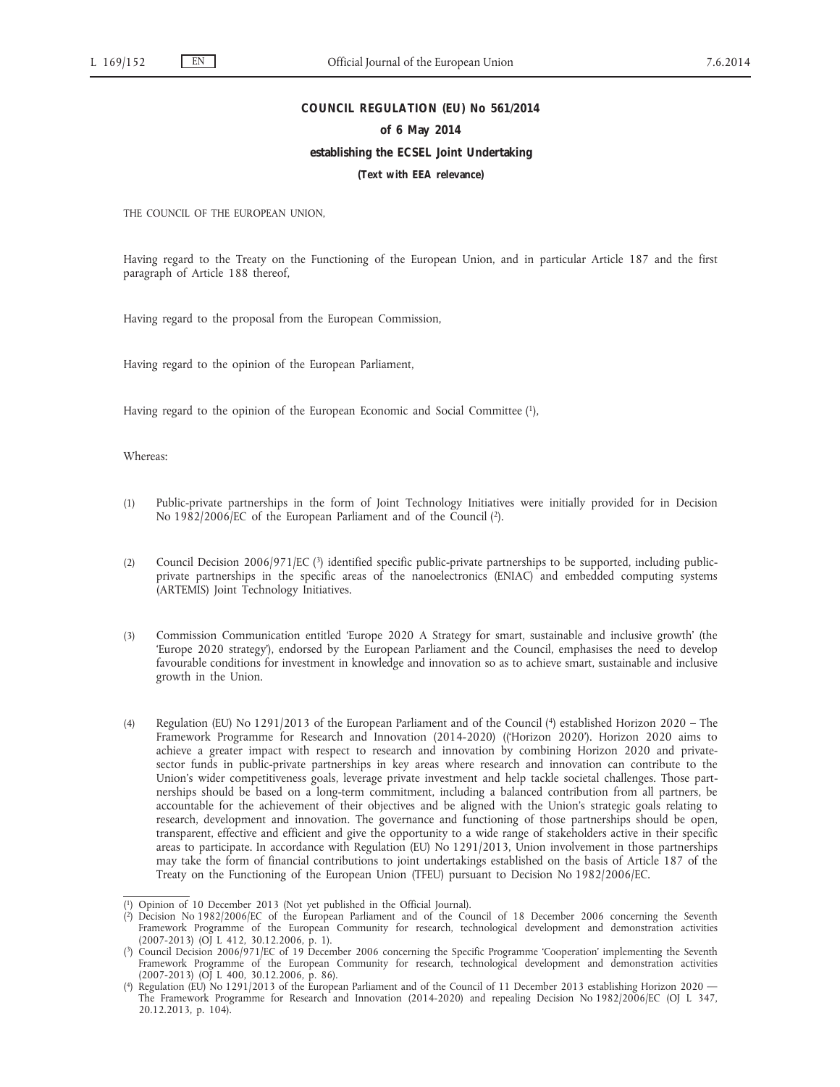### **COUNCIL REGULATION (EU) No 561/2014**

#### **of 6 May 2014**

### **establishing the ECSEL Joint Undertaking**

**(Text with EEA relevance)**

THE COUNCIL OF THE EUROPEAN UNION,

Having regard to the Treaty on the Functioning of the European Union, and in particular Article 187 and the first paragraph of Article 188 thereof,

Having regard to the proposal from the European Commission,

Having regard to the opinion of the European Parliament,

Having regard to the opinion of the European Economic and Social Committee  $(1)$ ,

## Whereas:

- (1) Public-private partnerships in the form of Joint Technology Initiatives were initially provided for in Decision No 1982/2006/EC of the European Parliament and of the Council (2).
- (2) Council Decision 2006/971/EC (3) identified specific public-private partnerships to be supported, including publicprivate partnerships in the specific areas of the nanoelectronics (ENIAC) and embedded computing systems (ARTEMIS) Joint Technology Initiatives.
- (3) Commission Communication entitled 'Europe 2020 A Strategy for smart, sustainable and inclusive growth' (the 'Europe 2020 strategy'), endorsed by the European Parliament and the Council, emphasises the need to develop favourable conditions for investment in knowledge and innovation so as to achieve smart, sustainable and inclusive growth in the Union.
- (4) Regulation (EU) No 1291/2013 of the European Parliament and of the Council (4) established Horizon 2020 The Framework Programme for Research and Innovation (2014-2020) (('Horizon 2020'). Horizon 2020 aims to achieve a greater impact with respect to research and innovation by combining Horizon 2020 and privatesector funds in public-private partnerships in key areas where research and innovation can contribute to the Union's wider competitiveness goals, leverage private investment and help tackle societal challenges. Those partnerships should be based on a long-term commitment, including a balanced contribution from all partners, be accountable for the achievement of their objectives and be aligned with the Union's strategic goals relating to research, development and innovation. The governance and functioning of those partnerships should be open, transparent, effective and efficient and give the opportunity to a wide range of stakeholders active in their specific areas to participate. In accordance with Regulation (EU) No 1291/2013, Union involvement in those partnerships may take the form of financial contributions to joint undertakings established on the basis of Article 187 of the Treaty on the Functioning of the European Union (TFEU) pursuant to Decision No 1982/2006/EC.

<sup>(</sup> 1) Opinion of 10 December 2013 (Not yet published in the Official Journal).

<sup>(</sup> 2) Decision No 1982/2006/EC of the European Parliament and of the Council of 18 December 2006 concerning the Seventh Framework Programme of the European Community for research, technological development and demonstration activities (2007-2013) (OJ L 412, 30.12.2006, p. 1).

<sup>(</sup> 3) Council Decision 2006/971/EC of 19 December 2006 concerning the Specific Programme 'Cooperation' implementing the Seventh Framework Programme of the European Community for research, technological development and demonstration activities  $(2007-2013)$   $(O)$  L 400, 30.12.2006, p. 86).

<sup>(</sup> 4) Regulation (EU) No 1291/2013 of the European Parliament and of the Council of 11 December 2013 establishing Horizon 2020 — The Framework Programme for Research and Innovation (2014-2020) and repealing Decision No 1982/2006/EC (OJ L 347, 20.12.2013, p. 104).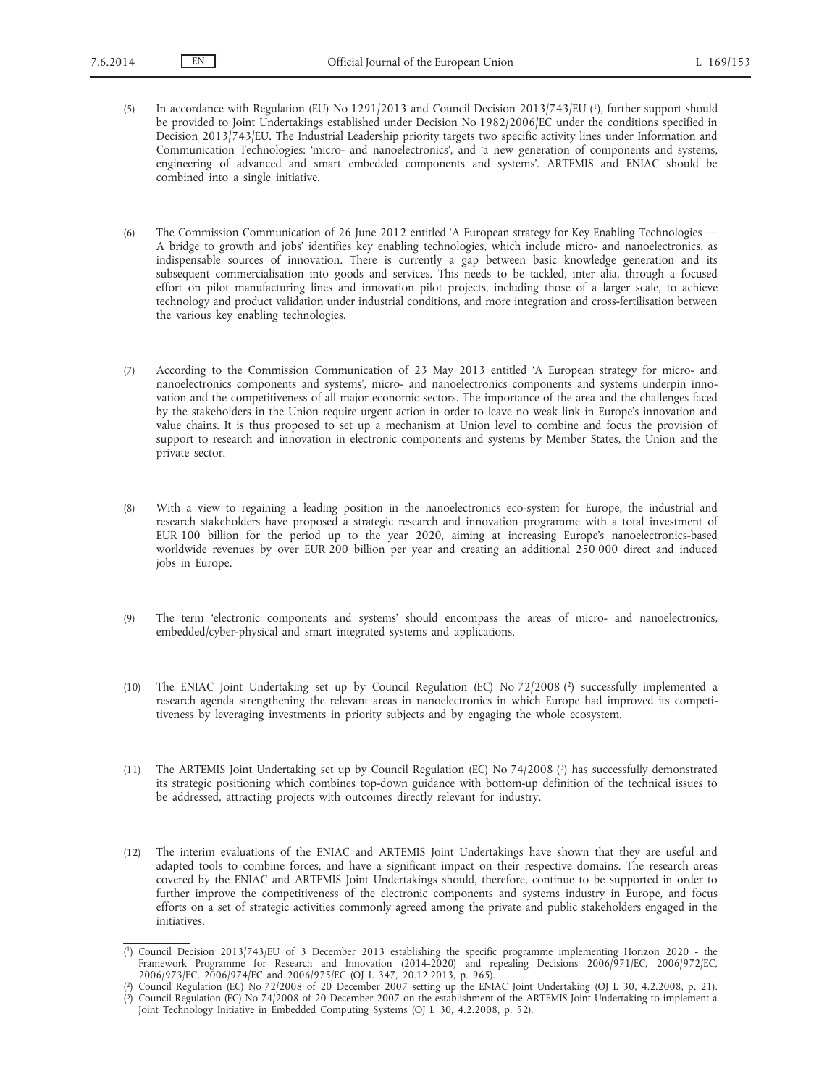- (5) In accordance with Regulation (EU) No 1291/2013 and Council Decision 2013/743/EU (1), further support should be provided to Joint Undertakings established under Decision No 1982/2006/EC under the conditions specified in Decision 2013/743/EU. The Industrial Leadership priority targets two specific activity lines under Information and Communication Technologies: 'micro- and nanoelectronics', and 'a new generation of components and systems, engineering of advanced and smart embedded components and systems'. ARTEMIS and ENIAC should be combined into a single initiative.
- (6) The Commission Communication of 26 June 2012 entitled 'A European strategy for Key Enabling Technologies A bridge to growth and jobs' identifies key enabling technologies, which include micro- and nanoelectronics, as indispensable sources of innovation. There is currently a gap between basic knowledge generation and its subsequent commercialisation into goods and services. This needs to be tackled, inter alia, through a focused effort on pilot manufacturing lines and innovation pilot projects, including those of a larger scale, to achieve technology and product validation under industrial conditions, and more integration and cross-fertilisation between the various key enabling technologies.
- (7) According to the Commission Communication of 23 May 2013 entitled 'A European strategy for micro- and nanoelectronics components and systems', micro- and nanoelectronics components and systems underpin innovation and the competitiveness of all major economic sectors. The importance of the area and the challenges faced by the stakeholders in the Union require urgent action in order to leave no weak link in Europe's innovation and value chains. It is thus proposed to set up a mechanism at Union level to combine and focus the provision of support to research and innovation in electronic components and systems by Member States, the Union and the private sector.
- (8) With a view to regaining a leading position in the nanoelectronics eco-system for Europe, the industrial and research stakeholders have proposed a strategic research and innovation programme with a total investment of EUR 100 billion for the period up to the year 2020, aiming at increasing Europe's nanoelectronics-based worldwide revenues by over EUR 200 billion per year and creating an additional 250 000 direct and induced jobs in Europe.
- (9) The term 'electronic components and systems' should encompass the areas of micro- and nanoelectronics, embedded/cyber-physical and smart integrated systems and applications.
- (10) The ENIAC Joint Undertaking set up by Council Regulation (EC) No 72/2008 (2) successfully implemented a research agenda strengthening the relevant areas in nanoelectronics in which Europe had improved its competitiveness by leveraging investments in priority subjects and by engaging the whole ecosystem.
- (11) The ARTEMIS Joint Undertaking set up by Council Regulation (EC) No 74/2008 (3) has successfully demonstrated its strategic positioning which combines top-down guidance with bottom-up definition of the technical issues to be addressed, attracting projects with outcomes directly relevant for industry.
- (12) The interim evaluations of the ENIAC and ARTEMIS Joint Undertakings have shown that they are useful and adapted tools to combine forces, and have a significant impact on their respective domains. The research areas covered by the ENIAC and ARTEMIS Joint Undertakings should, therefore, continue to be supported in order to further improve the competitiveness of the electronic components and systems industry in Europe, and focus efforts on a set of strategic activities commonly agreed among the private and public stakeholders engaged in the initiatives.

<sup>(</sup> 1) Council Decision 2013/743/EU of 3 December 2013 establishing the specific programme implementing Horizon 2020 - the Framework Programme for Research and Innovation (2014-2020) and repealing Decisions 2006/971/EC, 2006/972/EC, 2006/973/EC, 2006/974/EC and 2006/975/EC (OJ L 347, 20.12.2013, p. 965).

<sup>(</sup> 2) Council Regulation (EC) No 72/2008 of 20 December 2007 setting up the ENIAC Joint Undertaking (OJ L 30, 4.2.2008, p. 21). ( 3) Council Regulation (EC) No 74/2008 of 20 December 2007 on the establishment of the ARTEMIS Joint Undertaking to implement a

Joint Technology Initiative in Embedded Computing Systems (OJ L 30, 4.2.2008, p. 52).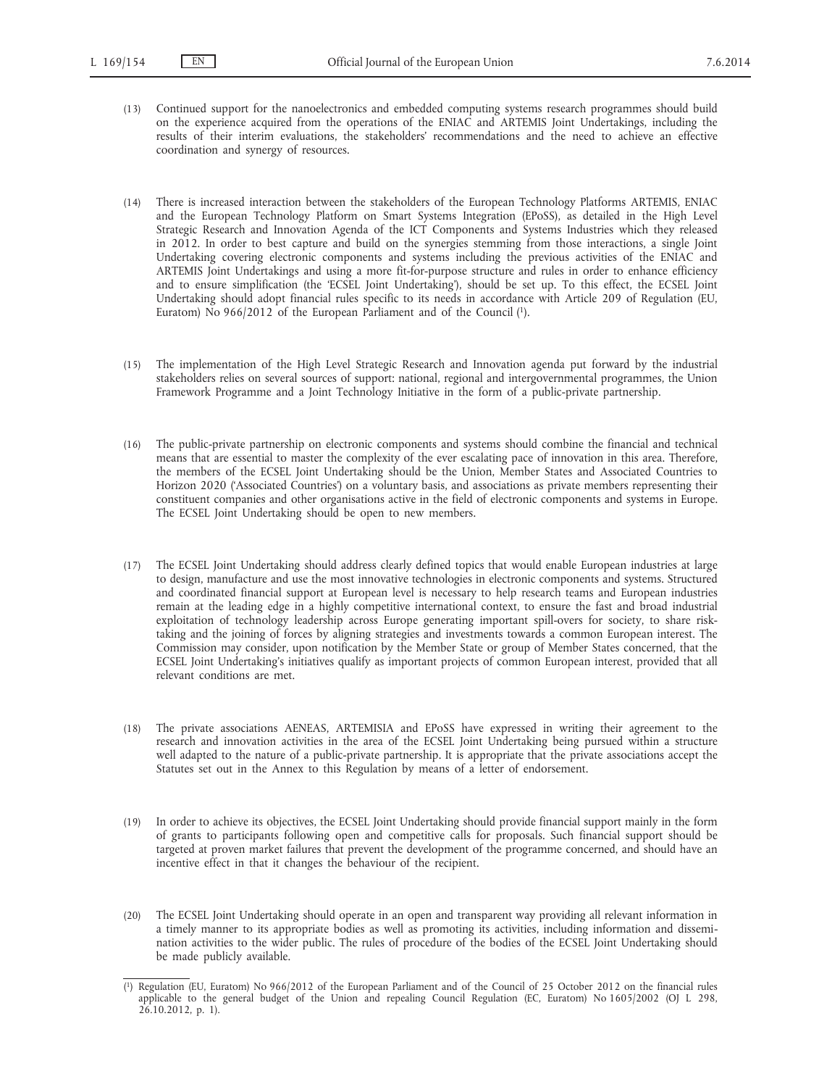- (13) Continued support for the nanoelectronics and embedded computing systems research programmes should build on the experience acquired from the operations of the ENIAC and ARTEMIS Joint Undertakings, including the results of their interim evaluations, the stakeholders' recommendations and the need to achieve an effective coordination and synergy of resources.
- (14) There is increased interaction between the stakeholders of the European Technology Platforms ARTEMIS, ENIAC and the European Technology Platform on Smart Systems Integration (EPoSS), as detailed in the High Level Strategic Research and Innovation Agenda of the ICT Components and Systems Industries which they released in 2012. In order to best capture and build on the synergies stemming from those interactions, a single Joint Undertaking covering electronic components and systems including the previous activities of the ENIAC and ARTEMIS Joint Undertakings and using a more fit-for-purpose structure and rules in order to enhance efficiency and to ensure simplification (the 'ECSEL Joint Undertaking'), should be set up. To this effect, the ECSEL Joint Undertaking should adopt financial rules specific to its needs in accordance with Article 209 of Regulation (EU, Euratom) No 966/2012 of the European Parliament and of the Council (1).
- (15) The implementation of the High Level Strategic Research and Innovation agenda put forward by the industrial stakeholders relies on several sources of support: national, regional and intergovernmental programmes, the Union Framework Programme and a Joint Technology Initiative in the form of a public-private partnership.
- (16) The public-private partnership on electronic components and systems should combine the financial and technical means that are essential to master the complexity of the ever escalating pace of innovation in this area. Therefore, the members of the ECSEL Joint Undertaking should be the Union, Member States and Associated Countries to Horizon 2020 ('Associated Countries') on a voluntary basis, and associations as private members representing their constituent companies and other organisations active in the field of electronic components and systems in Europe. The ECSEL Joint Undertaking should be open to new members.
- (17) The ECSEL Joint Undertaking should address clearly defined topics that would enable European industries at large to design, manufacture and use the most innovative technologies in electronic components and systems. Structured and coordinated financial support at European level is necessary to help research teams and European industries remain at the leading edge in a highly competitive international context, to ensure the fast and broad industrial exploitation of technology leadership across Europe generating important spill-overs for society, to share risktaking and the joining of forces by aligning strategies and investments towards a common European interest. The Commission may consider, upon notification by the Member State or group of Member States concerned, that the ECSEL Joint Undertaking's initiatives qualify as important projects of common European interest, provided that all relevant conditions are met.
- (18) The private associations AENEAS, ARTEMISIA and EPoSS have expressed in writing their agreement to the research and innovation activities in the area of the ECSEL Joint Undertaking being pursued within a structure well adapted to the nature of a public-private partnership. It is appropriate that the private associations accept the Statutes set out in the Annex to this Regulation by means of a letter of endorsement.
- (19) In order to achieve its objectives, the ECSEL Joint Undertaking should provide financial support mainly in the form of grants to participants following open and competitive calls for proposals. Such financial support should be targeted at proven market failures that prevent the development of the programme concerned, and should have an incentive effect in that it changes the behaviour of the recipient.
- (20) The ECSEL Joint Undertaking should operate in an open and transparent way providing all relevant information in a timely manner to its appropriate bodies as well as promoting its activities, including information and dissemination activities to the wider public. The rules of procedure of the bodies of the ECSEL Joint Undertaking should be made publicly available.

<sup>(</sup> 1) Regulation (EU, Euratom) No 966/2012 of the European Parliament and of the Council of 25 October 2012 on the financial rules applicable to the general budget of the Union and repealing Council Regulation (EC, Euratom) No 1605/2002 (OJ L 298,  $26.10.2012$ , p. 1).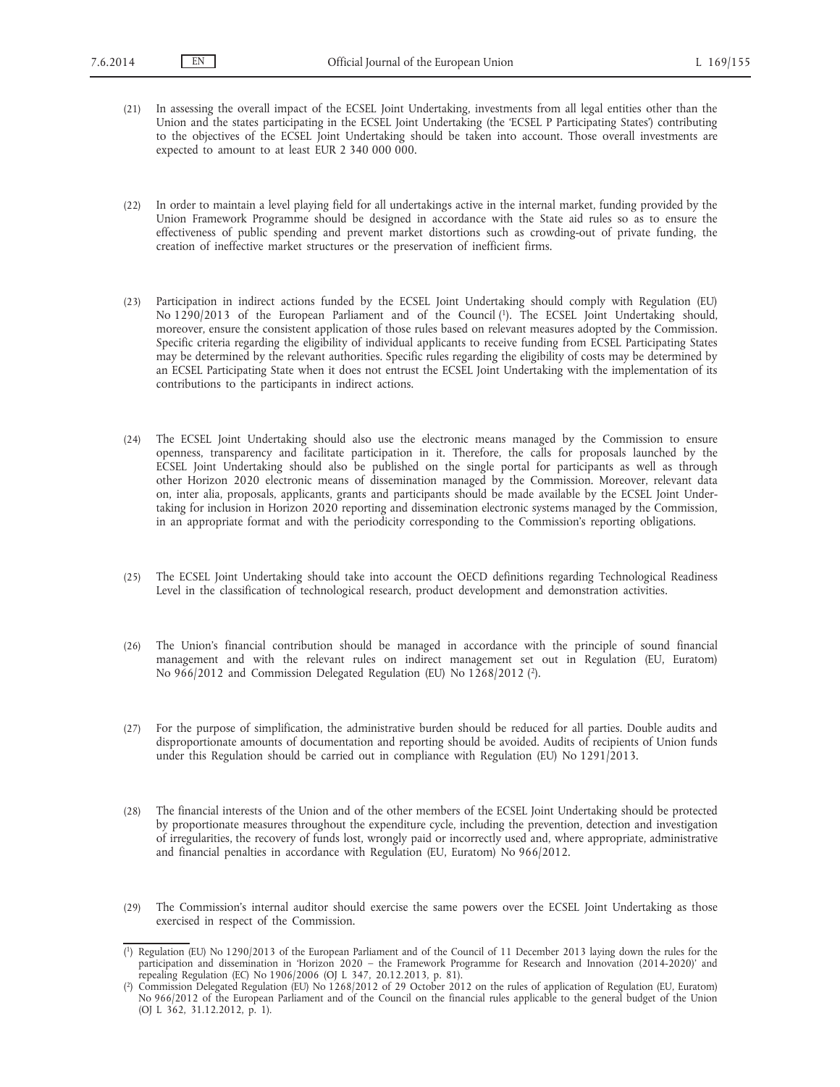- (21) In assessing the overall impact of the ECSEL Joint Undertaking, investments from all legal entities other than the Union and the states participating in the ECSEL Joint Undertaking (the 'ECSEL P Participating States') contributing to the objectives of the ECSEL Joint Undertaking should be taken into account. Those overall investments are expected to amount to at least EUR 2 340 000 000.
- (22) In order to maintain a level playing field for all undertakings active in the internal market, funding provided by the Union Framework Programme should be designed in accordance with the State aid rules so as to ensure the effectiveness of public spending and prevent market distortions such as crowding-out of private funding, the creation of ineffective market structures or the preservation of inefficient firms.
- (23) Participation in indirect actions funded by the ECSEL Joint Undertaking should comply with Regulation (EU) No 1290/2013 of the European Parliament and of the Council (1). The ECSEL Joint Undertaking should, moreover, ensure the consistent application of those rules based on relevant measures adopted by the Commission. Specific criteria regarding the eligibility of individual applicants to receive funding from ECSEL Participating States may be determined by the relevant authorities. Specific rules regarding the eligibility of costs may be determined by an ECSEL Participating State when it does not entrust the ECSEL Joint Undertaking with the implementation of its contributions to the participants in indirect actions.
- (24) The ECSEL Joint Undertaking should also use the electronic means managed by the Commission to ensure openness, transparency and facilitate participation in it. Therefore, the calls for proposals launched by the ECSEL Joint Undertaking should also be published on the single portal for participants as well as through other Horizon 2020 electronic means of dissemination managed by the Commission. Moreover, relevant data on, inter alia, proposals, applicants, grants and participants should be made available by the ECSEL Joint Undertaking for inclusion in Horizon 2020 reporting and dissemination electronic systems managed by the Commission, in an appropriate format and with the periodicity corresponding to the Commission's reporting obligations.
- (25) The ECSEL Joint Undertaking should take into account the OECD definitions regarding Technological Readiness Level in the classification of technological research, product development and demonstration activities.
- (26) The Union's financial contribution should be managed in accordance with the principle of sound financial management and with the relevant rules on indirect management set out in Regulation (EU, Euratom) No 966/2012 and Commission Delegated Regulation (EU) No 1268/2012 (2).
- (27) For the purpose of simplification, the administrative burden should be reduced for all parties. Double audits and disproportionate amounts of documentation and reporting should be avoided. Audits of recipients of Union funds under this Regulation should be carried out in compliance with Regulation (EU) No 1291/2013.
- (28) The financial interests of the Union and of the other members of the ECSEL Joint Undertaking should be protected by proportionate measures throughout the expenditure cycle, including the prevention, detection and investigation of irregularities, the recovery of funds lost, wrongly paid or incorrectly used and, where appropriate, administrative and financial penalties in accordance with Regulation (EU, Euratom) No 966/2012.
- (29) The Commission's internal auditor should exercise the same powers over the ECSEL Joint Undertaking as those exercised in respect of the Commission.

<sup>(</sup> 1) Regulation (EU) No 1290/2013 of the European Parliament and of the Council of 11 December 2013 laying down the rules for the participation and dissemination in 'Horizon 2020 – the Framework Programme for Research and Innovation (2014-2020)' and repealing Regulation (EC) No 1906/2006 (OJ L 347, 20.12.2013, p. 81).

<sup>(</sup> 2) Commission Delegated Regulation (EU) No 1268/2012 of 29 October 2012 on the rules of application of Regulation (EU, Euratom) No 966/2012 of the European Parliament and of the Council on the financial rules applicable to the general budget of the Union (OJ L 362, 31.12.2012, p. 1).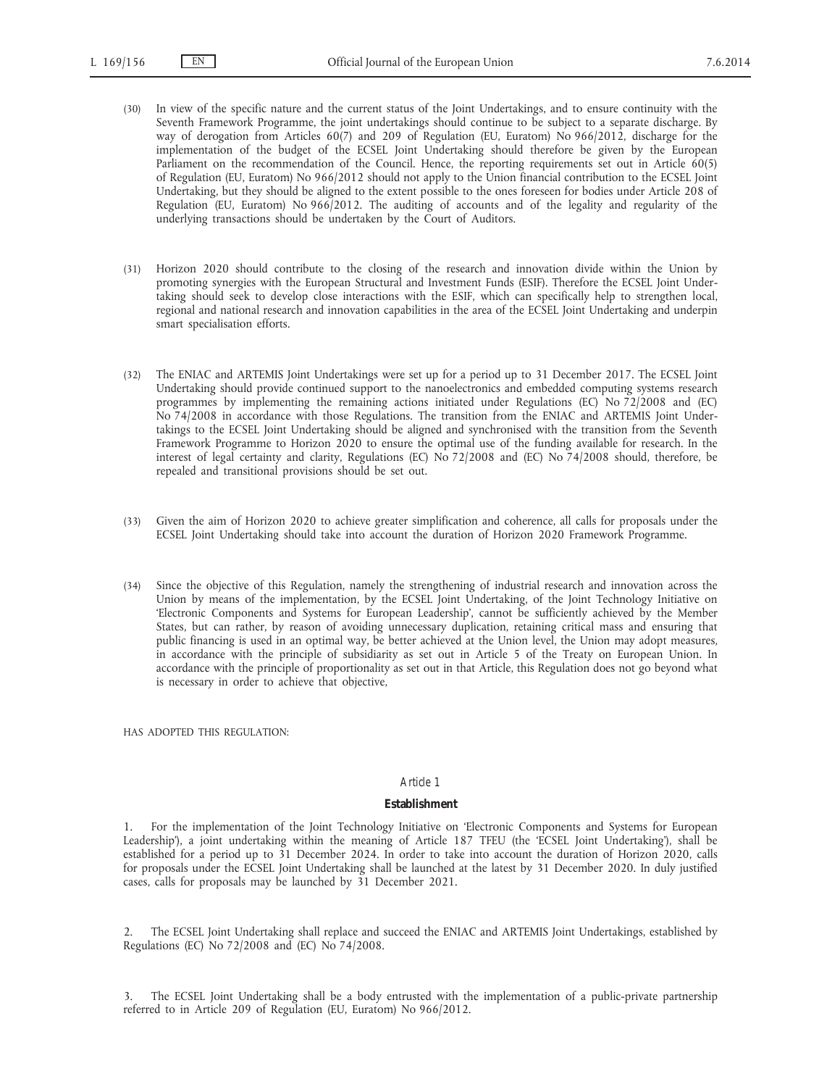- (30) In view of the specific nature and the current status of the Joint Undertakings, and to ensure continuity with the Seventh Framework Programme, the joint undertakings should continue to be subject to a separate discharge. By way of derogation from Articles 60(7) and 209 of Regulation (EU, Euratom) No 966/2012, discharge for the implementation of the budget of the ECSEL Joint Undertaking should therefore be given by the European Parliament on the recommendation of the Council. Hence, the reporting requirements set out in Article 60(5) of Regulation (EU, Euratom) No 966/2012 should not apply to the Union financial contribution to the ECSEL Joint Undertaking, but they should be aligned to the extent possible to the ones foreseen for bodies under Article 208 of Regulation (EU, Euratom) No 966/2012. The auditing of accounts and of the legality and regularity of the underlying transactions should be undertaken by the Court of Auditors.
- (31) Horizon 2020 should contribute to the closing of the research and innovation divide within the Union by promoting synergies with the European Structural and Investment Funds (ESIF). Therefore the ECSEL Joint Undertaking should seek to develop close interactions with the ESIF, which can specifically help to strengthen local, regional and national research and innovation capabilities in the area of the ECSEL Joint Undertaking and underpin smart specialisation efforts.
- (32) The ENIAC and ARTEMIS Joint Undertakings were set up for a period up to 31 December 2017. The ECSEL Joint Undertaking should provide continued support to the nanoelectronics and embedded computing systems research programmes by implementing the remaining actions initiated under Regulations (EC) No 72/2008 and (EC) No 74/2008 in accordance with those Regulations. The transition from the ENIAC and ARTEMIS Joint Undertakings to the ECSEL Joint Undertaking should be aligned and synchronised with the transition from the Seventh Framework Programme to Horizon 2020 to ensure the optimal use of the funding available for research. In the interest of legal certainty and clarity, Regulations (EC) No 72/2008 and (EC) No 74/2008 should, therefore, be repealed and transitional provisions should be set out.
- (33) Given the aim of Horizon 2020 to achieve greater simplification and coherence, all calls for proposals under the ECSEL Joint Undertaking should take into account the duration of Horizon 2020 Framework Programme.
- (34) Since the objective of this Regulation, namely the strengthening of industrial research and innovation across the Union by means of the implementation, by the ECSEL Joint Undertaking, of the Joint Technology Initiative on 'Electronic Components and Systems for European Leadership', cannot be sufficiently achieved by the Member States, but can rather, by reason of avoiding unnecessary duplication, retaining critical mass and ensuring that public financing is used in an optimal way, be better achieved at the Union level, the Union may adopt measures, in accordance with the principle of subsidiarity as set out in Article 5 of the Treaty on European Union. In accordance with the principle of proportionality as set out in that Article, this Regulation does not go beyond what is necessary in order to achieve that objective,

HAS ADOPTED THIS REGULATION:

### *Article 1*

### **Establishment**

1. For the implementation of the Joint Technology Initiative on 'Electronic Components and Systems for European Leadership'), a joint undertaking within the meaning of Article 187 TFEU (the 'ECSEL Joint Undertaking'), shall be established for a period up to 31 December 2024. In order to take into account the duration of Horizon 2020, calls for proposals under the ECSEL Joint Undertaking shall be launched at the latest by 31 December 2020. In duly justified cases, calls for proposals may be launched by 31 December 2021.

2. The ECSEL Joint Undertaking shall replace and succeed the ENIAC and ARTEMIS Joint Undertakings, established by Regulations (EC) No 72/2008 and (EC) No 74/2008.

3. The ECSEL Joint Undertaking shall be a body entrusted with the implementation of a public-private partnership referred to in Article 209 of Regulation (EU, Euratom) No 966/2012.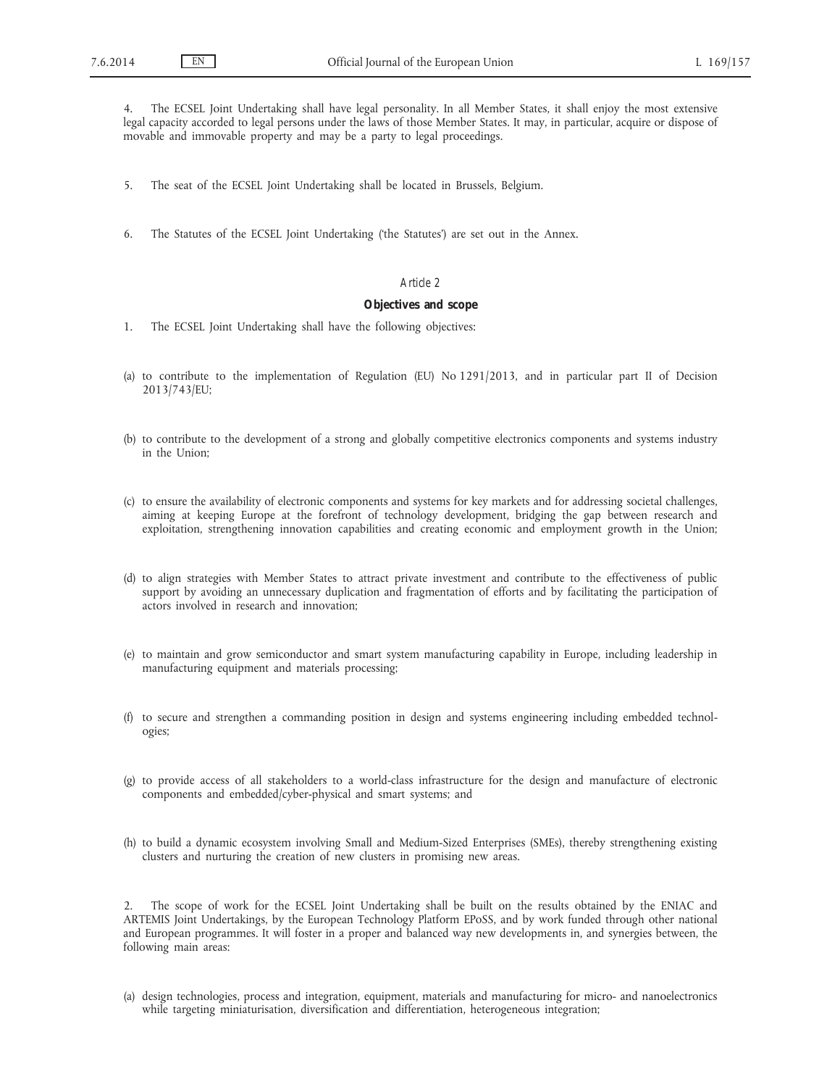4. The ECSEL Joint Undertaking shall have legal personality. In all Member States, it shall enjoy the most extensive legal capacity accorded to legal persons under the laws of those Member States. It may, in particular, acquire or dispose of movable and immovable property and may be a party to legal proceedings.

- 5. The seat of the ECSEL Joint Undertaking shall be located in Brussels, Belgium.
- 6. The Statutes of the ECSEL Joint Undertaking ('the Statutes') are set out in the Annex.

# *Article 2*

## **Objectives and scope**

- 1. The ECSEL Joint Undertaking shall have the following objectives:
- (a) to contribute to the implementation of Regulation (EU) No 1291/2013, and in particular part II of Decision 2013/743/EU;
- (b) to contribute to the development of a strong and globally competitive electronics components and systems industry in the Union;
- (c) to ensure the availability of electronic components and systems for key markets and for addressing societal challenges, aiming at keeping Europe at the forefront of technology development, bridging the gap between research and exploitation, strengthening innovation capabilities and creating economic and employment growth in the Union;
- (d) to align strategies with Member States to attract private investment and contribute to the effectiveness of public support by avoiding an unnecessary duplication and fragmentation of efforts and by facilitating the participation of actors involved in research and innovation;
- (e) to maintain and grow semiconductor and smart system manufacturing capability in Europe, including leadership in manufacturing equipment and materials processing;
- (f) to secure and strengthen a commanding position in design and systems engineering including embedded technologies;
- (g) to provide access of all stakeholders to a world-class infrastructure for the design and manufacture of electronic components and embedded/cyber-physical and smart systems; and
- (h) to build a dynamic ecosystem involving Small and Medium-Sized Enterprises (SMEs), thereby strengthening existing clusters and nurturing the creation of new clusters in promising new areas.

2. The scope of work for the ECSEL Joint Undertaking shall be built on the results obtained by the ENIAC and ARTEMIS Joint Undertakings, by the European Technology Platform EPoSS, and by work funded through other national and European programmes. It will foster in a proper and balanced way new developments in, and synergies between, the following main areas:

(a) design technologies, process and integration, equipment, materials and manufacturing for micro- and nanoelectronics while targeting miniaturisation, diversification and differentiation, heterogeneous integration;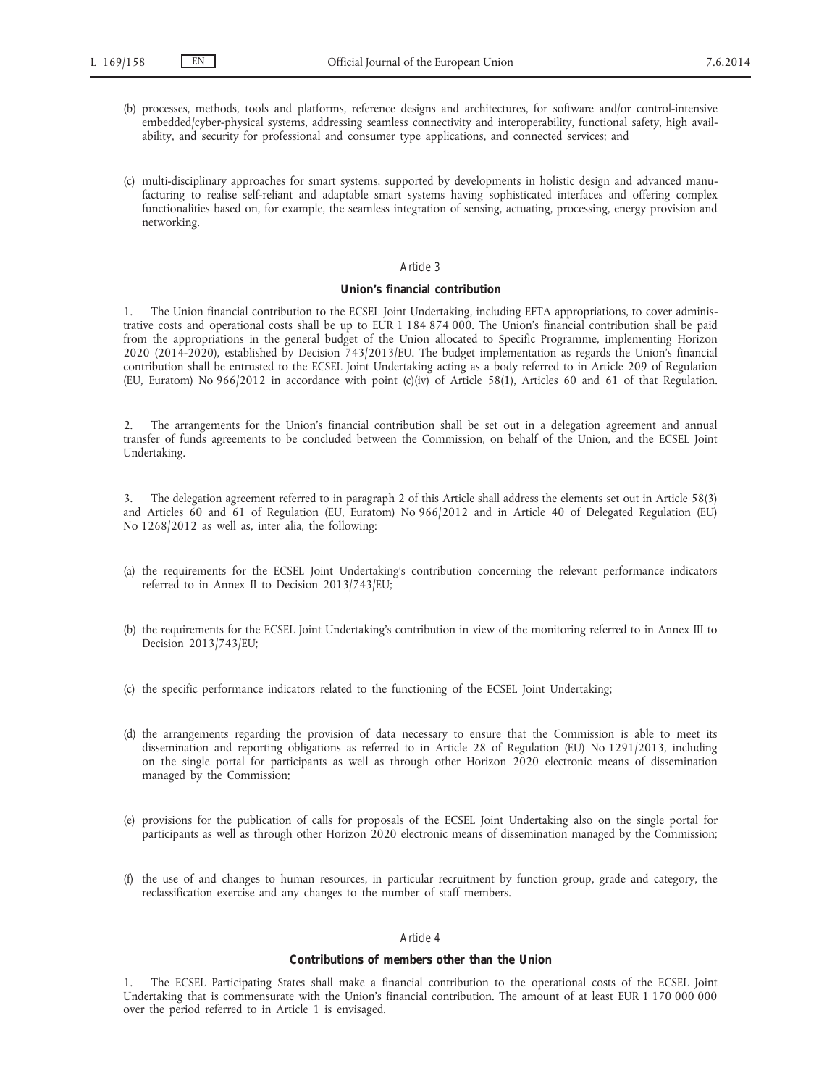- (b) processes, methods, tools and platforms, reference designs and architectures, for software and/or control-intensive embedded/cyber-physical systems, addressing seamless connectivity and interoperability, functional safety, high availability, and security for professional and consumer type applications, and connected services; and
- (c) multi-disciplinary approaches for smart systems, supported by developments in holistic design and advanced manufacturing to realise self-reliant and adaptable smart systems having sophisticated interfaces and offering complex functionalities based on, for example, the seamless integration of sensing, actuating, processing, energy provision and networking.

#### **Union's financial contribution**

1. The Union financial contribution to the ECSEL Joint Undertaking, including EFTA appropriations, to cover administrative costs and operational costs shall be up to EUR 1 184 874 000. The Union's financial contribution shall be paid from the appropriations in the general budget of the Union allocated to Specific Programme, implementing Horizon 2020 (2014-2020), established by Decision 743/2013/EU. The budget implementation as regards the Union's financial contribution shall be entrusted to the ECSEL Joint Undertaking acting as a body referred to in Article 209 of Regulation (EU, Euratom) No 966/2012 in accordance with point (c)(iv) of Article 58(1), Articles 60 and 61 of that Regulation.

2. The arrangements for the Union's financial contribution shall be set out in a delegation agreement and annual transfer of funds agreements to be concluded between the Commission, on behalf of the Union, and the ECSEL Joint Undertaking.

3. The delegation agreement referred to in paragraph 2 of this Article shall address the elements set out in Article 58(3) and Articles 60 and 61 of Regulation (EU, Euratom) No 966/2012 and in Article 40 of Delegated Regulation (EU) No 1268/2012 as well as, inter alia, the following:

- (a) the requirements for the ECSEL Joint Undertaking's contribution concerning the relevant performance indicators referred to in Annex II to Decision 2013/743/EU;
- (b) the requirements for the ECSEL Joint Undertaking's contribution in view of the monitoring referred to in Annex III to Decision 2013/743/EU;
- (c) the specific performance indicators related to the functioning of the ECSEL Joint Undertaking;
- (d) the arrangements regarding the provision of data necessary to ensure that the Commission is able to meet its dissemination and reporting obligations as referred to in Article 28 of Regulation (EU) No 1291/2013, including on the single portal for participants as well as through other Horizon 2020 electronic means of dissemination managed by the Commission;
- (e) provisions for the publication of calls for proposals of the ECSEL Joint Undertaking also on the single portal for participants as well as through other Horizon 2020 electronic means of dissemination managed by the Commission;
- (f) the use of and changes to human resources, in particular recruitment by function group, grade and category, the reclassification exercise and any changes to the number of staff members.

## *Article 4*

# **Contributions of members other than the Union**

1. The ECSEL Participating States shall make a financial contribution to the operational costs of the ECSEL Joint Undertaking that is commensurate with the Union's financial contribution. The amount of at least EUR 1 170 000 000 over the period referred to in Article 1 is envisaged.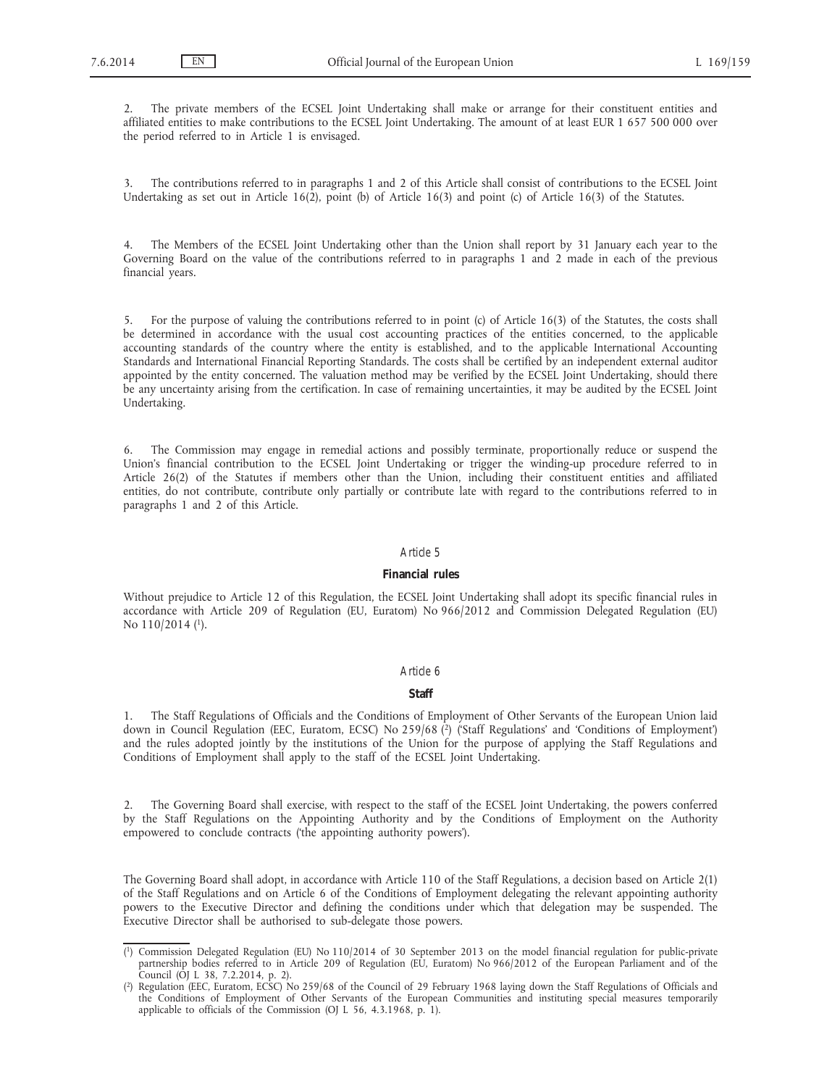2. The private members of the ECSEL Joint Undertaking shall make or arrange for their constituent entities and affiliated entities to make contributions to the ECSEL Joint Undertaking. The amount of at least EUR 1 657 500 000 over the period referred to in Article 1 is envisaged.

3. The contributions referred to in paragraphs 1 and 2 of this Article shall consist of contributions to the ECSEL Joint Undertaking as set out in Article 16(2), point (b) of Article 16(3) and point (c) of Article 16(3) of the Statutes.

4. The Members of the ECSEL Joint Undertaking other than the Union shall report by 31 January each year to the Governing Board on the value of the contributions referred to in paragraphs 1 and 2 made in each of the previous financial years.

5. For the purpose of valuing the contributions referred to in point (c) of Article 16(3) of the Statutes, the costs shall be determined in accordance with the usual cost accounting practices of the entities concerned, to the applicable accounting standards of the country where the entity is established, and to the applicable International Accounting Standards and International Financial Reporting Standards. The costs shall be certified by an independent external auditor appointed by the entity concerned. The valuation method may be verified by the ECSEL Joint Undertaking, should there be any uncertainty arising from the certification. In case of remaining uncertainties, it may be audited by the ECSEL Joint Undertaking.

6. The Commission may engage in remedial actions and possibly terminate, proportionally reduce or suspend the Union's financial contribution to the ECSEL Joint Undertaking or trigger the winding-up procedure referred to in Article 26(2) of the Statutes if members other than the Union, including their constituent entities and affiliated entities, do not contribute, contribute only partially or contribute late with regard to the contributions referred to in paragraphs 1 and 2 of this Article.

### *Article 5*

## **Financial rules**

Without prejudice to Article 12 of this Regulation, the ECSEL Joint Undertaking shall adopt its specific financial rules in accordance with Article 209 of Regulation (EU, Euratom) No 966/2012 and Commission Delegated Regulation (EU) No 110/2014 (<sup>1</sup>).

## *Article 6*

# **Staff**

1. The Staff Regulations of Officials and the Conditions of Employment of Other Servants of the European Union laid down in Council Regulation (EEC, Euratom, ECSC) No 259/68 (<sup>2</sup>) ('Staff Regulations' and 'Conditions of Employment') and the rules adopted jointly by the institutions of the Union for the purpose of applying the Staff Regulations and Conditions of Employment shall apply to the staff of the ECSEL Joint Undertaking.

2. The Governing Board shall exercise, with respect to the staff of the ECSEL Joint Undertaking, the powers conferred by the Staff Regulations on the Appointing Authority and by the Conditions of Employment on the Authority empowered to conclude contracts ('the appointing authority powers').

The Governing Board shall adopt, in accordance with Article 110 of the Staff Regulations, a decision based on Article 2(1) of the Staff Regulations and on Article 6 of the Conditions of Employment delegating the relevant appointing authority powers to the Executive Director and defining the conditions under which that delegation may be suspended. The Executive Director shall be authorised to sub-delegate those powers.

<sup>(</sup> 1) Commission Delegated Regulation (EU) No 110/2014 of 30 September 2013 on the model financial regulation for public-private partnership bodies referred to in Article 209 of Regulation (EU, Euratom) No 966/2012 of the European Parliament and of the Council (OJ L 38, 7.2.2014, p. 2).

<sup>(</sup> 2) Regulation (EEC, Euratom, ECSC) No 259/68 of the Council of 29 February 1968 laying down the Staff Regulations of Officials and the Conditions of Employment of Other Servants of the European Communities and instituting special measures temporarily applicable to officials of the Commission (OJ L 56, 4.3.1968, p. 1).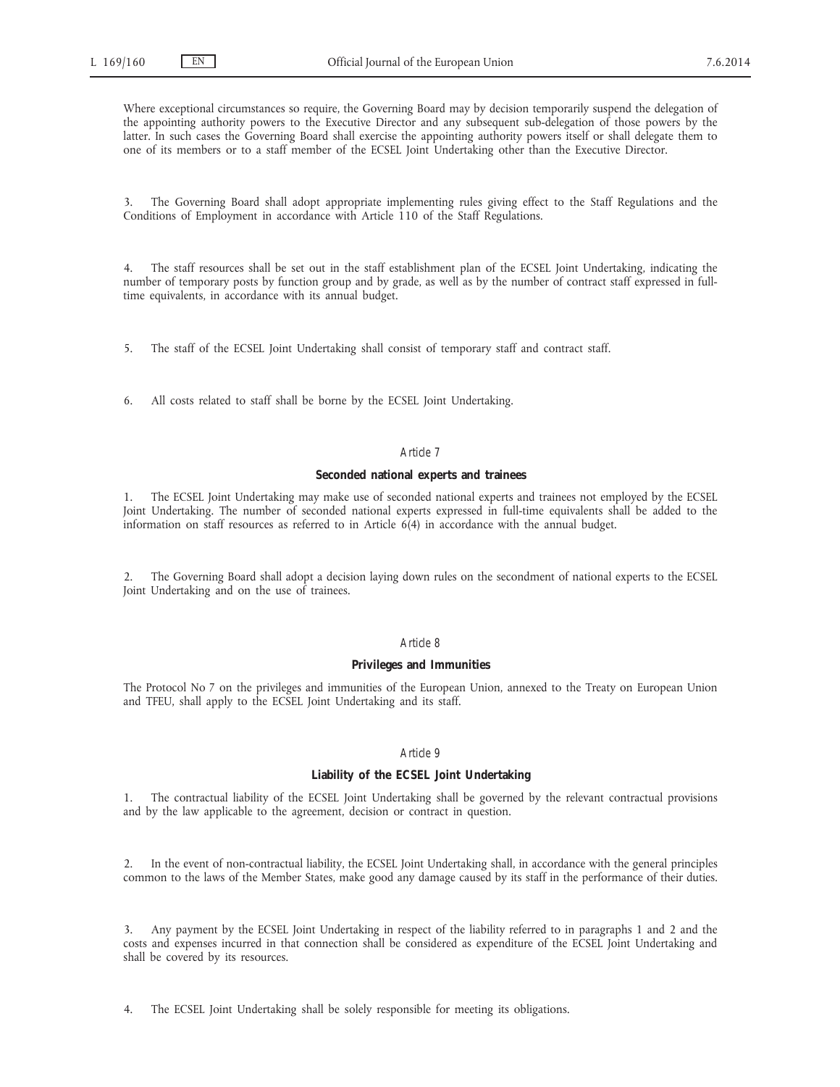Where exceptional circumstances so require, the Governing Board may by decision temporarily suspend the delegation of the appointing authority powers to the Executive Director and any subsequent sub-delegation of those powers by the latter. In such cases the Governing Board shall exercise the appointing authority powers itself or shall delegate them to one of its members or to a staff member of the ECSEL Joint Undertaking other than the Executive Director.

3. The Governing Board shall adopt appropriate implementing rules giving effect to the Staff Regulations and the Conditions of Employment in accordance with Article 110 of the Staff Regulations.

4. The staff resources shall be set out in the staff establishment plan of the ECSEL Joint Undertaking, indicating the number of temporary posts by function group and by grade, as well as by the number of contract staff expressed in fulltime equivalents, in accordance with its annual budget.

5. The staff of the ECSEL Joint Undertaking shall consist of temporary staff and contract staff.

6. All costs related to staff shall be borne by the ECSEL Joint Undertaking.

## *Article 7*

# **Seconded national experts and trainees**

1. The ECSEL Joint Undertaking may make use of seconded national experts and trainees not employed by the ECSEL Joint Undertaking. The number of seconded national experts expressed in full-time equivalents shall be added to the information on staff resources as referred to in Article 6(4) in accordance with the annual budget.

2. The Governing Board shall adopt a decision laying down rules on the secondment of national experts to the ECSEL Joint Undertaking and on the use of trainees.

## *Article 8*

## **Privileges and Immunities**

The Protocol No 7 on the privileges and immunities of the European Union, annexed to the Treaty on European Union and TFEU, shall apply to the ECSEL Joint Undertaking and its staff.

## *Article 9*

### **Liability of the ECSEL Joint Undertaking**

1. The contractual liability of the ECSEL Joint Undertaking shall be governed by the relevant contractual provisions and by the law applicable to the agreement, decision or contract in question.

2. In the event of non-contractual liability, the ECSEL Joint Undertaking shall, in accordance with the general principles common to the laws of the Member States, make good any damage caused by its staff in the performance of their duties.

3. Any payment by the ECSEL Joint Undertaking in respect of the liability referred to in paragraphs 1 and 2 and the costs and expenses incurred in that connection shall be considered as expenditure of the ECSEL Joint Undertaking and shall be covered by its resources.

4. The ECSEL Joint Undertaking shall be solely responsible for meeting its obligations.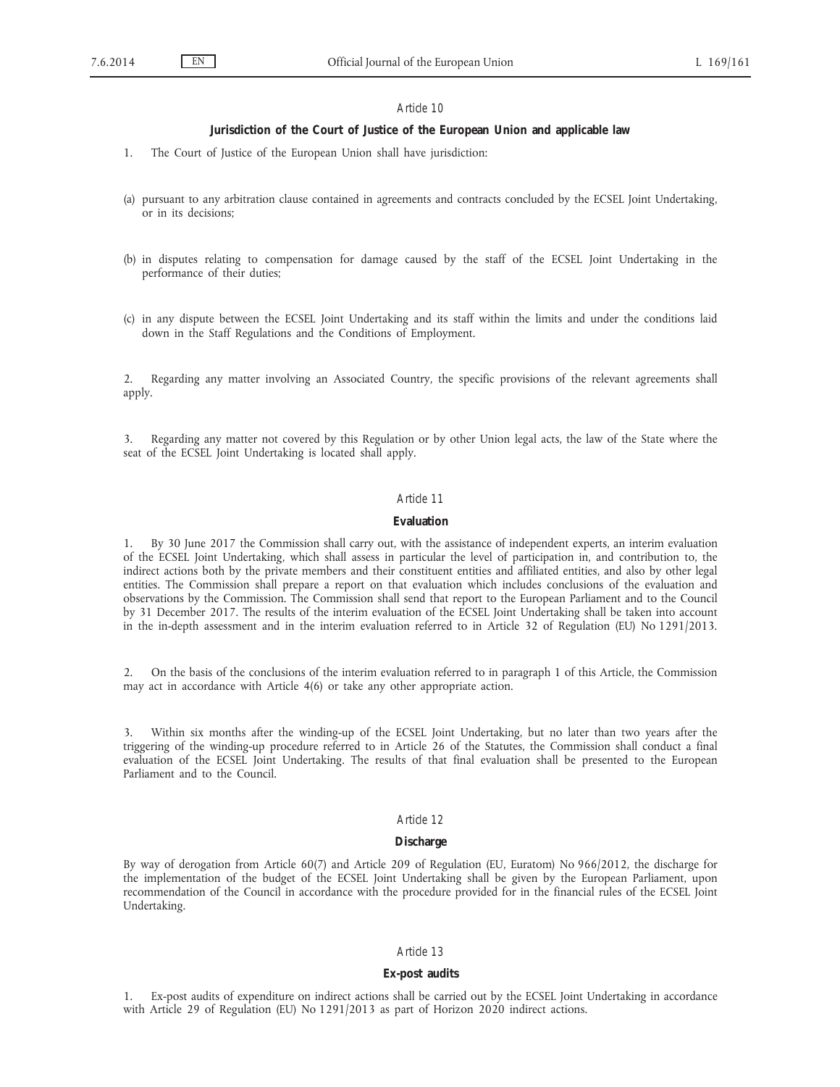### **Jurisdiction of the Court of Justice of the European Union and applicable law**

- 1. The Court of Justice of the European Union shall have jurisdiction:
- (a) pursuant to any arbitration clause contained in agreements and contracts concluded by the ECSEL Joint Undertaking, or in its decisions;
- (b) in disputes relating to compensation for damage caused by the staff of the ECSEL Joint Undertaking in the performance of their duties;
- (c) in any dispute between the ECSEL Joint Undertaking and its staff within the limits and under the conditions laid down in the Staff Regulations and the Conditions of Employment.

2. Regarding any matter involving an Associated Country, the specific provisions of the relevant agreements shall apply.

3. Regarding any matter not covered by this Regulation or by other Union legal acts, the law of the State where the seat of the ECSEL Joint Undertaking is located shall apply.

### *Article 11*

## **Evaluation**

1. By 30 June 2017 the Commission shall carry out, with the assistance of independent experts, an interim evaluation of the ECSEL Joint Undertaking, which shall assess in particular the level of participation in, and contribution to, the indirect actions both by the private members and their constituent entities and affiliated entities, and also by other legal entities. The Commission shall prepare a report on that evaluation which includes conclusions of the evaluation and observations by the Commission. The Commission shall send that report to the European Parliament and to the Council by 31 December 2017. The results of the interim evaluation of the ECSEL Joint Undertaking shall be taken into account in the in-depth assessment and in the interim evaluation referred to in Article 32 of Regulation (EU) No 1291/2013.

2. On the basis of the conclusions of the interim evaluation referred to in paragraph 1 of this Article, the Commission may act in accordance with Article 4(6) or take any other appropriate action.

3. Within six months after the winding-up of the ECSEL Joint Undertaking, but no later than two years after the triggering of the winding-up procedure referred to in Article 26 of the Statutes, the Commission shall conduct a final evaluation of the ECSEL Joint Undertaking. The results of that final evaluation shall be presented to the European Parliament and to the Council.

## *Article 12*

#### **Discharge**

By way of derogation from Article 60(7) and Article 209 of Regulation (EU, Euratom) No 966/2012, the discharge for the implementation of the budget of the ECSEL Joint Undertaking shall be given by the European Parliament, upon recommendation of the Council in accordance with the procedure provided for in the financial rules of the ECSEL Joint Undertaking.

## *Article 13*

### **Ex-post audits**

Ex-post audits of expenditure on indirect actions shall be carried out by the ECSEL Joint Undertaking in accordance with Article 29 of Regulation (EU) No 1291/2013 as part of Horizon 2020 indirect actions.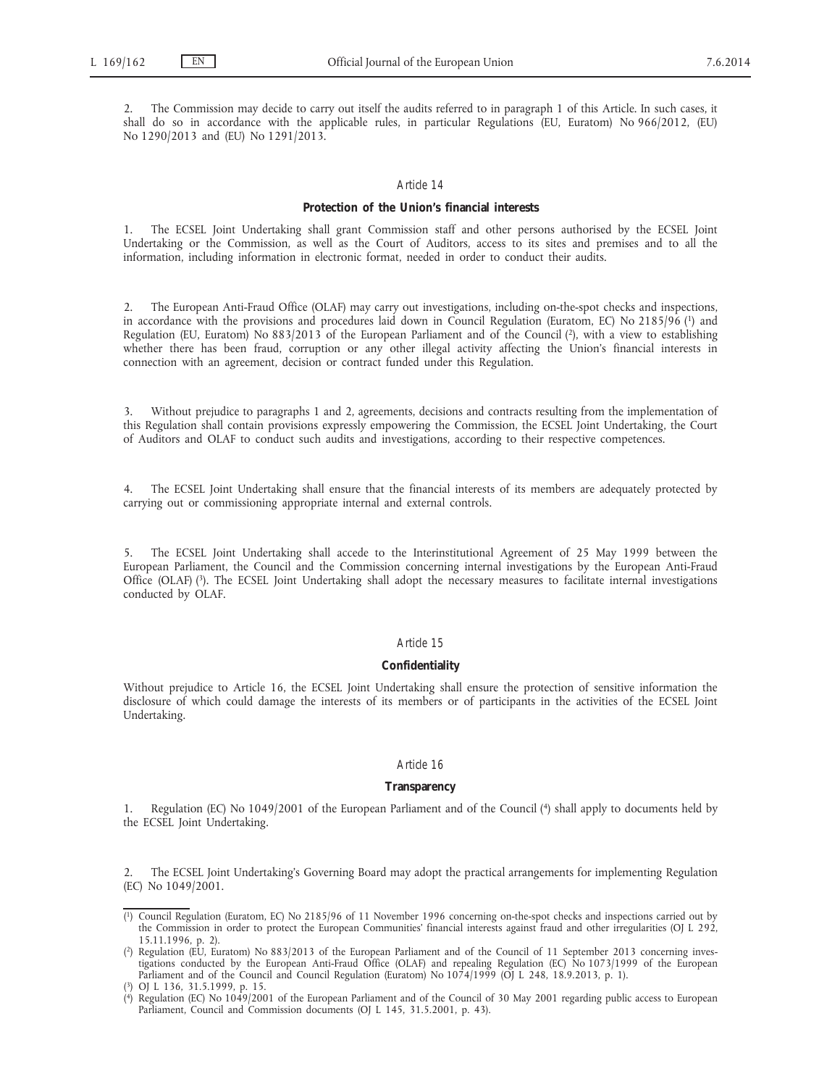2. The Commission may decide to carry out itself the audits referred to in paragraph 1 of this Article. In such cases, it shall do so in accordance with the applicable rules, in particular Regulations (EU, Euratom) No 966/2012, (EU) No 1290/2013 and (EU) No 1291/2013.

## *Article 14*

## **Protection of the Union's financial interests**

1. The ECSEL Joint Undertaking shall grant Commission staff and other persons authorised by the ECSEL Joint Undertaking or the Commission, as well as the Court of Auditors, access to its sites and premises and to all the information, including information in electronic format, needed in order to conduct their audits.

2. The European Anti-Fraud Office (OLAF) may carry out investigations, including on-the-spot checks and inspections, in accordance with the provisions and procedures laid down in Council Regulation (Euratom, EC) No 2185/96 (1) and Regulation (EU, Euratom) No 883/2013 of the European Parliament and of the Council (2), with a view to establishing whether there has been fraud, corruption or any other illegal activity affecting the Union's financial interests in connection with an agreement, decision or contract funded under this Regulation.

3. Without prejudice to paragraphs 1 and 2, agreements, decisions and contracts resulting from the implementation of this Regulation shall contain provisions expressly empowering the Commission, the ECSEL Joint Undertaking, the Court of Auditors and OLAF to conduct such audits and investigations, according to their respective competences.

4. The ECSEL Joint Undertaking shall ensure that the financial interests of its members are adequately protected by carrying out or commissioning appropriate internal and external controls.

5. The ECSEL Joint Undertaking shall accede to the Interinstitutional Agreement of 25 May 1999 between the European Parliament, the Council and the Commission concerning internal investigations by the European Anti-Fraud Office (OLAF) (3). The ECSEL Joint Undertaking shall adopt the necessary measures to facilitate internal investigations conducted by OLAF.

# *Article 15*

#### **Confidentiality**

Without prejudice to Article 16, the ECSEL Joint Undertaking shall ensure the protection of sensitive information the disclosure of which could damage the interests of its members or of participants in the activities of the ECSEL Joint Undertaking.

### *Article 16*

# **Transparency**

1. Regulation (EC) No 1049/2001 of the European Parliament and of the Council (4) shall apply to documents held by the ECSEL Joint Undertaking.

2. The ECSEL Joint Undertaking's Governing Board may adopt the practical arrangements for implementing Regulation (EC) No 1049/2001.

<sup>(</sup> 1) Council Regulation (Euratom, EC) No 2185/96 of 11 November 1996 concerning on-the-spot checks and inspections carried out by the Commission in order to protect the European Communities' financial interests against fraud and other irregularities (OJ L 292, 15.11.1996, p. 2).

<sup>(</sup> 2) Regulation (EU, Euratom) No 883/2013 of the European Parliament and of the Council of 11 September 2013 concerning investigations conducted by the European Anti-Fraud Office (OLAF) and repealing Regulation (EC) No 1073/1999 of the European Parliament and of the Council and Council Regulation (Euratom) No  $1074/1999$  (OJ L 248, 18.9.2013, p. 1).

<sup>(</sup> 3) OJ L 136, 31.5.1999, p. 15.

<sup>(</sup> 4) Regulation (EC) No 1049/2001 of the European Parliament and of the Council of 30 May 2001 regarding public access to European Parliament, Council and Commission documents (OJ L 145, 31.5.2001, p. 43).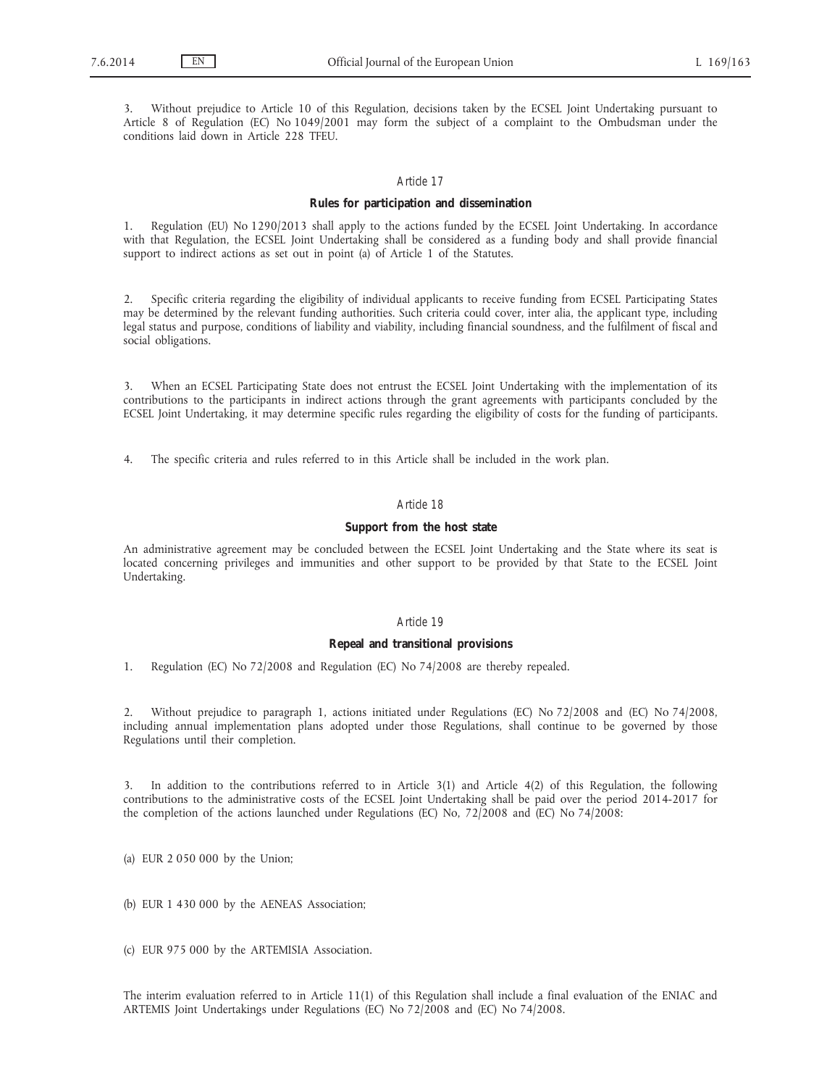3. Without prejudice to Article 10 of this Regulation, decisions taken by the ECSEL Joint Undertaking pursuant to Article 8 of Regulation (EC) No 1049/2001 may form the subject of a complaint to the Ombudsman under the conditions laid down in Article 228 TFEU.

# *Article 17*

## **Rules for participation and dissemination**

1. Regulation (EU) No 1290/2013 shall apply to the actions funded by the ECSEL Joint Undertaking. In accordance with that Regulation, the ECSEL Joint Undertaking shall be considered as a funding body and shall provide financial support to indirect actions as set out in point (a) of Article 1 of the Statutes.

2. Specific criteria regarding the eligibility of individual applicants to receive funding from ECSEL Participating States may be determined by the relevant funding authorities. Such criteria could cover, inter alia, the applicant type, including legal status and purpose, conditions of liability and viability, including financial soundness, and the fulfilment of fiscal and social obligations.

3. When an ECSEL Participating State does not entrust the ECSEL Joint Undertaking with the implementation of its contributions to the participants in indirect actions through the grant agreements with participants concluded by the ECSEL Joint Undertaking, it may determine specific rules regarding the eligibility of costs for the funding of participants.

4. The specific criteria and rules referred to in this Article shall be included in the work plan.

# *Article 18*

## **Support from the host state**

An administrative agreement may be concluded between the ECSEL Joint Undertaking and the State where its seat is located concerning privileges and immunities and other support to be provided by that State to the ECSEL Joint Undertaking.

### *Article 19*

### **Repeal and transitional provisions**

1. Regulation (EC) No 72/2008 and Regulation (EC) No 74/2008 are thereby repealed.

2. Without prejudice to paragraph 1, actions initiated under Regulations (EC) No 72/2008 and (EC) No 74/2008, including annual implementation plans adopted under those Regulations, shall continue to be governed by those Regulations until their completion.

3. In addition to the contributions referred to in Article 3(1) and Article 4(2) of this Regulation, the following contributions to the administrative costs of the ECSEL Joint Undertaking shall be paid over the period 2014-2017 for the completion of the actions launched under Regulations (EC) No, 72/2008 and (EC) No 74/2008:

(a) EUR 2 050 000 by the Union;

(b) EUR 1 430 000 by the AENEAS Association;

(c) EUR 975 000 by the ARTEMISIA Association.

The interim evaluation referred to in Article 11(1) of this Regulation shall include a final evaluation of the ENIAC and ARTEMIS Joint Undertakings under Regulations (EC) No 72/2008 and (EC) No 74/2008.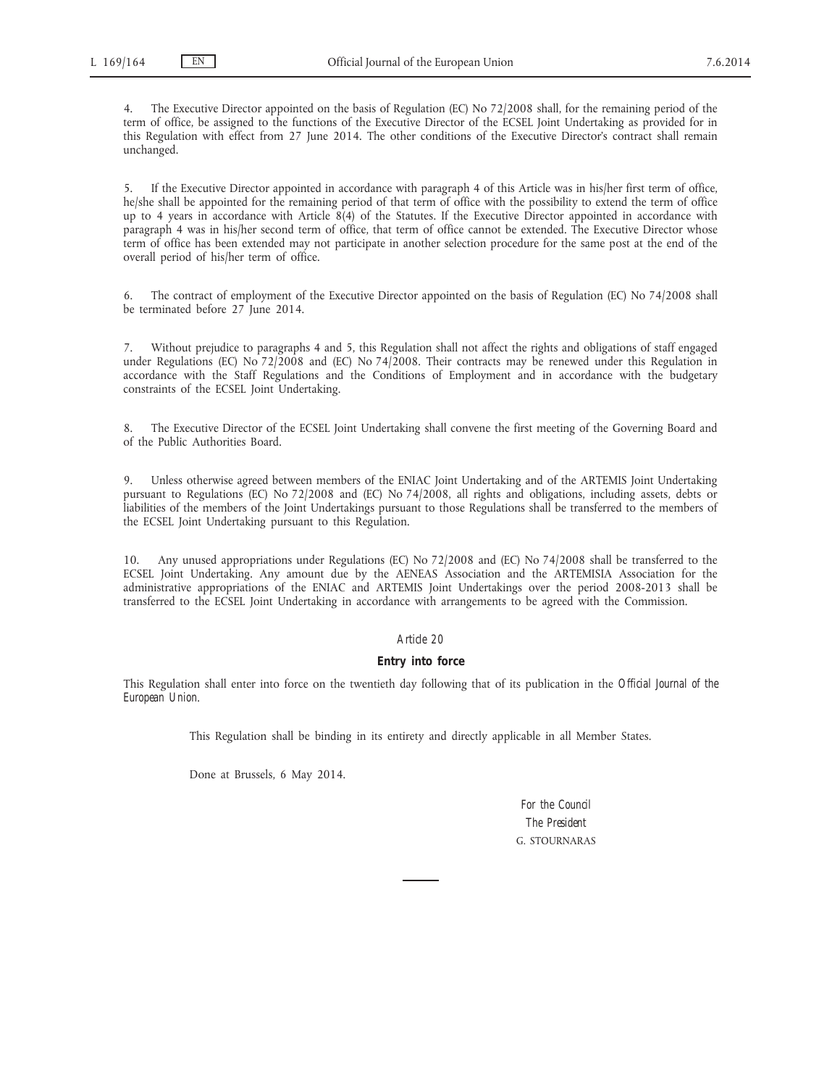The Executive Director appointed on the basis of Regulation (EC) No 72/2008 shall, for the remaining period of the term of office, be assigned to the functions of the Executive Director of the ECSEL Joint Undertaking as provided for in this Regulation with effect from 27 June 2014. The other conditions of the Executive Director's contract shall remain unchanged.

5. If the Executive Director appointed in accordance with paragraph 4 of this Article was in his/her first term of office, he/she shall be appointed for the remaining period of that term of office with the possibility to extend the term of office up to 4 years in accordance with Article 8(4) of the Statutes. If the Executive Director appointed in accordance with paragraph 4 was in his/her second term of office, that term of office cannot be extended. The Executive Director whose term of office has been extended may not participate in another selection procedure for the same post at the end of the overall period of his/her term of office.

6. The contract of employment of the Executive Director appointed on the basis of Regulation (EC) No 74/2008 shall be terminated before 27 June 2014.

7. Without prejudice to paragraphs 4 and 5, this Regulation shall not affect the rights and obligations of staff engaged under Regulations (EC) No 72/2008 and (EC) No 74/2008. Their contracts may be renewed under this Regulation in accordance with the Staff Regulations and the Conditions of Employment and in accordance with the budgetary constraints of the ECSEL Joint Undertaking.

8. The Executive Director of the ECSEL Joint Undertaking shall convene the first meeting of the Governing Board and of the Public Authorities Board.

9. Unless otherwise agreed between members of the ENIAC Joint Undertaking and of the ARTEMIS Joint Undertaking pursuant to Regulations (EC) No 72/2008 and (EC) No 74/2008, all rights and obligations, including assets, debts or liabilities of the members of the Joint Undertakings pursuant to those Regulations shall be transferred to the members of the ECSEL Joint Undertaking pursuant to this Regulation.

10. Any unused appropriations under Regulations (EC) No 72/2008 and (EC) No 74/2008 shall be transferred to the ECSEL Joint Undertaking. Any amount due by the AENEAS Association and the ARTEMISIA Association for the administrative appropriations of the ENIAC and ARTEMIS Joint Undertakings over the period 2008-2013 shall be transferred to the ECSEL Joint Undertaking in accordance with arrangements to be agreed with the Commission.

# *Article 20*

### **Entry into force**

This Regulation shall enter into force on the twentieth day following that of its publication in the *Official Journal of the European Union*.

This Regulation shall be binding in its entirety and directly applicable in all Member States.

Done at Brussels, 6 May 2014.

*For the Council The President* G. STOURNARAS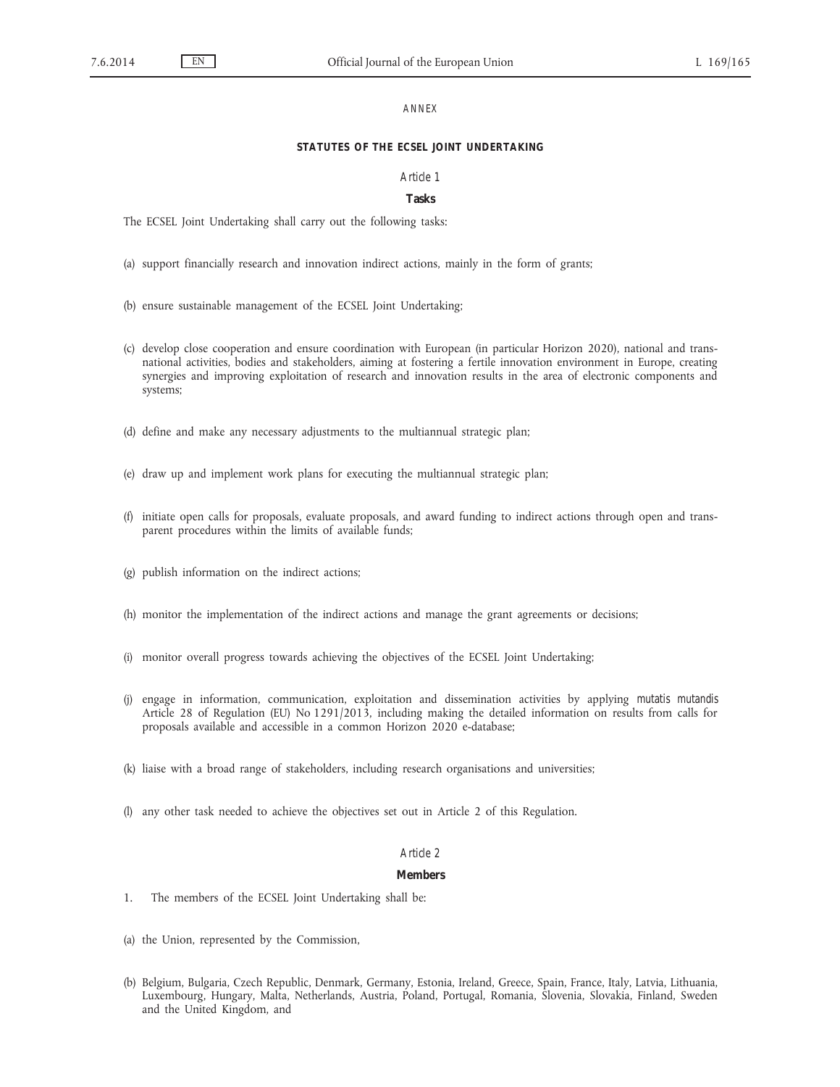### *ANNEX*

# **STATUTES OF THE ECSEL JOINT UNDERTAKING**

### *Article 1*

### **Tasks**

The ECSEL Joint Undertaking shall carry out the following tasks:

- (a) support financially research and innovation indirect actions, mainly in the form of grants;
- (b) ensure sustainable management of the ECSEL Joint Undertaking;
- (c) develop close cooperation and ensure coordination with European (in particular Horizon 2020), national and transnational activities, bodies and stakeholders, aiming at fostering a fertile innovation environment in Europe, creating synergies and improving exploitation of research and innovation results in the area of electronic components and systems;
- (d) define and make any necessary adjustments to the multiannual strategic plan;
- (e) draw up and implement work plans for executing the multiannual strategic plan;
- (f) initiate open calls for proposals, evaluate proposals, and award funding to indirect actions through open and transparent procedures within the limits of available funds;
- (g) publish information on the indirect actions;
- (h) monitor the implementation of the indirect actions and manage the grant agreements or decisions;
- (i) monitor overall progress towards achieving the objectives of the ECSEL Joint Undertaking;
- (j) engage in information, communication, exploitation and dissemination activities by applying *mutatis mutandis* Article 28 of Regulation (EU) No 1291/2013, including making the detailed information on results from calls for proposals available and accessible in a common Horizon 2020 e-database;
- (k) liaise with a broad range of stakeholders, including research organisations and universities;
- (l) any other task needed to achieve the objectives set out in Article 2 of this Regulation.

# *Article 2*

#### **Members**

- 1. The members of the ECSEL Joint Undertaking shall be:
- (a) the Union, represented by the Commission,
- (b) Belgium, Bulgaria, Czech Republic, Denmark, Germany, Estonia, Ireland, Greece, Spain, France, Italy, Latvia, Lithuania, Luxembourg, Hungary, Malta, Netherlands, Austria, Poland, Portugal, Romania, Slovenia, Slovakia, Finland, Sweden and the United Kingdom, and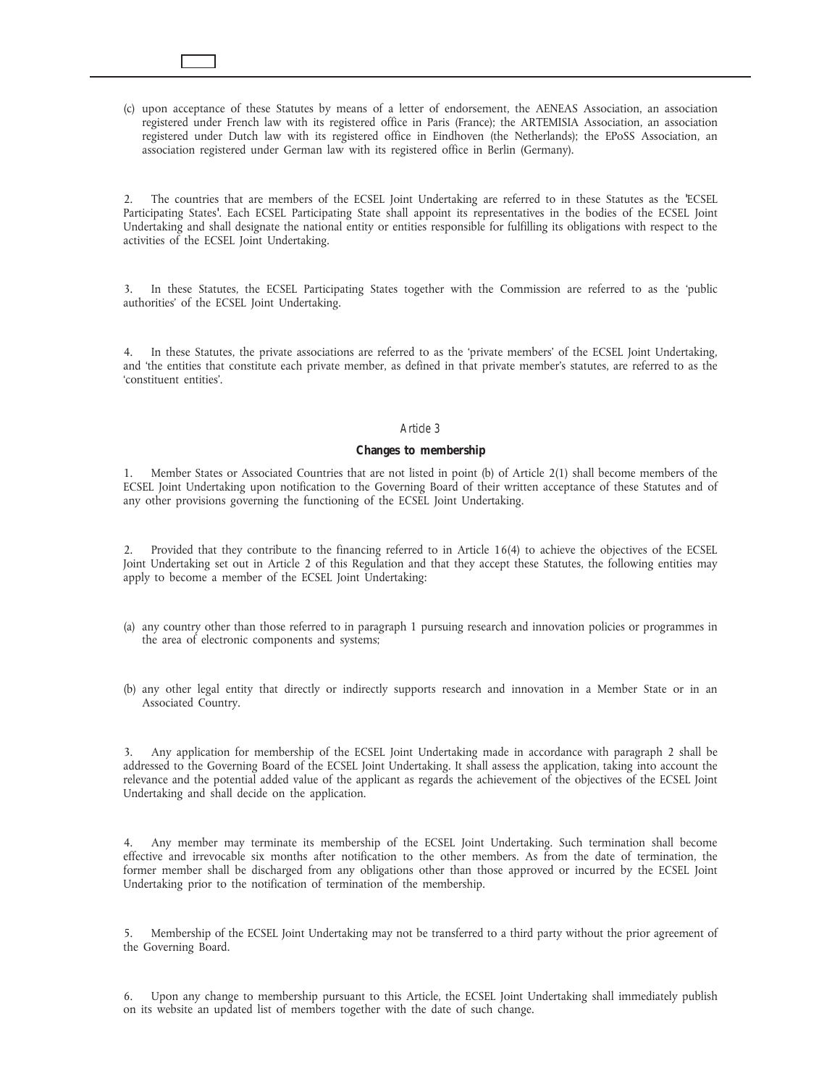(c) upon acceptance of these Statutes by means of a letter of endorsement, the AENEAS Association, an association registered under French law with its registered office in Paris (France); the ARTEMISIA Association, an association registered under Dutch law with its registered office in Eindhoven (the Netherlands); the EPoSS Association, an association registered under German law with its registered office in Berlin (Germany).

2. The countries that are members of the ECSEL Joint Undertaking are referred to in these Statutes as the 'ECSEL Participating States'. Each ECSEL Participating State shall appoint its representatives in the bodies of the ECSEL Joint Undertaking and shall designate the national entity or entities responsible for fulfilling its obligations with respect to the activities of the ECSEL Joint Undertaking.

3. In these Statutes, the ECSEL Participating States together with the Commission are referred to as the 'public authorities' of the ECSEL Joint Undertaking.

4. In these Statutes, the private associations are referred to as the 'private members' of the ECSEL Joint Undertaking, and 'the entities that constitute each private member, as defined in that private member's statutes, are referred to as the 'constituent entities'.

### *Article 3*

## **Changes to membership**

1. Member States or Associated Countries that are not listed in point (b) of Article 2(1) shall become members of the ECSEL Joint Undertaking upon notification to the Governing Board of their written acceptance of these Statutes and of any other provisions governing the functioning of the ECSEL Joint Undertaking.

2. Provided that they contribute to the financing referred to in Article 16(4) to achieve the objectives of the ECSEL Joint Undertaking set out in Article 2 of this Regulation and that they accept these Statutes, the following entities may apply to become a member of the ECSEL Joint Undertaking:

- (a) any country other than those referred to in paragraph 1 pursuing research and innovation policies or programmes in the area of electronic components and systems;
- (b) any other legal entity that directly or indirectly supports research and innovation in a Member State or in an Associated Country.

3. Any application for membership of the ECSEL Joint Undertaking made in accordance with paragraph 2 shall be addressed to the Governing Board of the ECSEL Joint Undertaking. It shall assess the application, taking into account the relevance and the potential added value of the applicant as regards the achievement of the objectives of the ECSEL Joint Undertaking and shall decide on the application.

4. Any member may terminate its membership of the ECSEL Joint Undertaking. Such termination shall become effective and irrevocable six months after notification to the other members. As from the date of termination, the former member shall be discharged from any obligations other than those approved or incurred by the ECSEL Joint Undertaking prior to the notification of termination of the membership.

5. Membership of the ECSEL Joint Undertaking may not be transferred to a third party without the prior agreement of the Governing Board.

6. Upon any change to membership pursuant to this Article, the ECSEL Joint Undertaking shall immediately publish on its website an updated list of members together with the date of such change.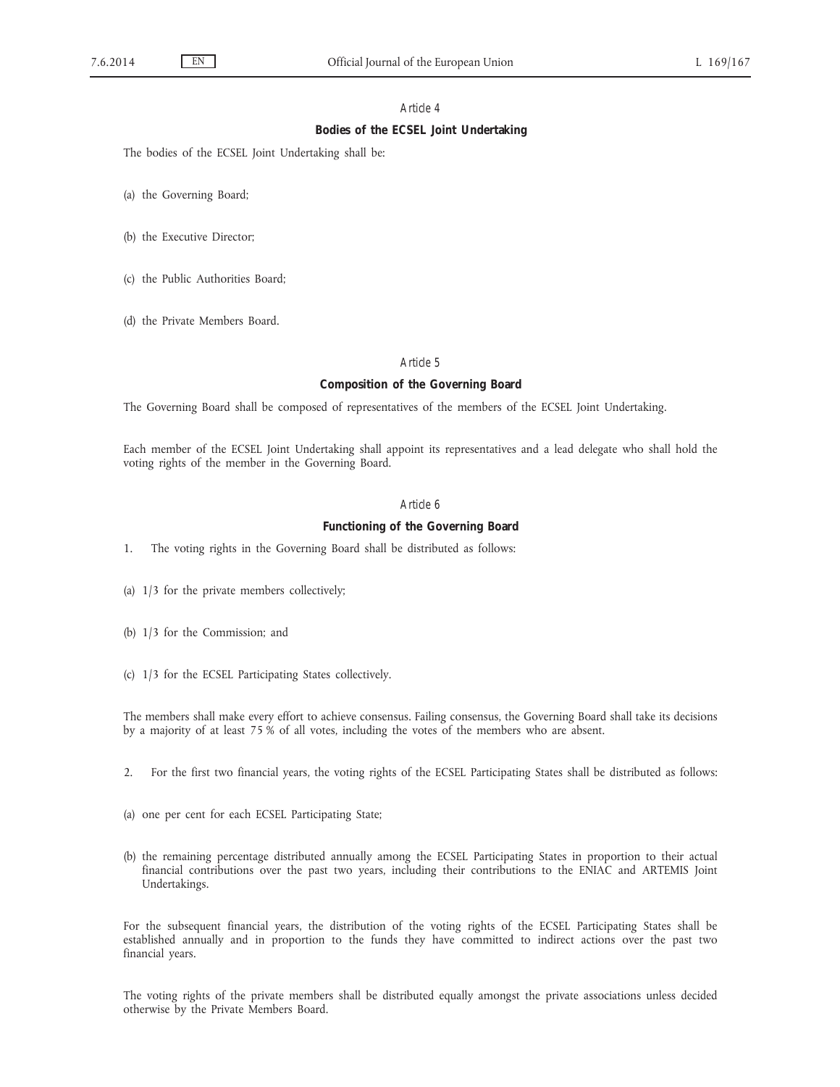# **Bodies of the ECSEL Joint Undertaking**

The bodies of the ECSEL Joint Undertaking shall be:

(a) the Governing Board;

- (b) the Executive Director;
- (c) the Public Authorities Board;
- (d) the Private Members Board.

## *Article 5*

# **Composition of the Governing Board**

The Governing Board shall be composed of representatives of the members of the ECSEL Joint Undertaking.

Each member of the ECSEL Joint Undertaking shall appoint its representatives and a lead delegate who shall hold the voting rights of the member in the Governing Board.

# *Article 6*

# **Functioning of the Governing Board**

- 1. The voting rights in the Governing Board shall be distributed as follows:
- (a) 1/3 for the private members collectively;
- (b) 1/3 for the Commission; and
- (c) 1/3 for the ECSEL Participating States collectively.

The members shall make every effort to achieve consensus. Failing consensus, the Governing Board shall take its decisions by a majority of at least 75 % of all votes, including the votes of the members who are absent.

- 2. For the first two financial years, the voting rights of the ECSEL Participating States shall be distributed as follows:
- (a) one per cent for each ECSEL Participating State;
- (b) the remaining percentage distributed annually among the ECSEL Participating States in proportion to their actual financial contributions over the past two years, including their contributions to the ENIAC and ARTEMIS Joint Undertakings.

For the subsequent financial years, the distribution of the voting rights of the ECSEL Participating States shall be established annually and in proportion to the funds they have committed to indirect actions over the past two financial years.

The voting rights of the private members shall be distributed equally amongst the private associations unless decided otherwise by the Private Members Board.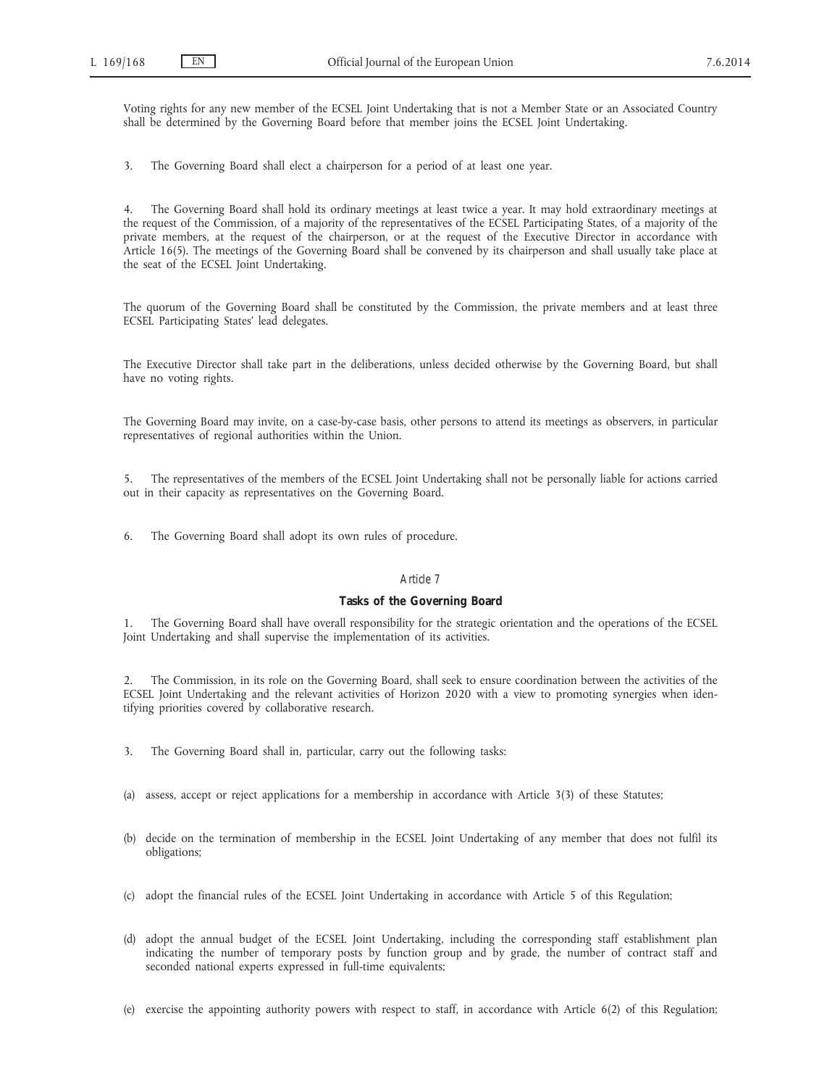Voting rights for any new member of the ECSEL Joint Undertaking that is not a Member State or an Associated Country shall be determined by the Governing Board before that member joins the ECSEL Joint Undertaking.

3. The Governing Board shall elect a chairperson for a period of at least one year.

4. The Governing Board shall hold its ordinary meetings at least twice a year. It may hold extraordinary meetings at the request of the Commission, of a majority of the representatives of the ECSEL Participating States, of a majority of the private members, at the request of the chairperson, or at the request of the Executive Director in accordance with Article 16(5). The meetings of the Governing Board shall be convened by its chairperson and shall usually take place at the seat of the ECSEL Joint Undertaking.

The quorum of the Governing Board shall be constituted by the Commission, the private members and at least three ECSEL Participating States' lead delegates.

The Executive Director shall take part in the deliberations, unless decided otherwise by the Governing Board, but shall have no voting rights.

The Governing Board may invite, on a case-by-case basis, other persons to attend its meetings as observers, in particular representatives of regional authorities within the Union.

5. The representatives of the members of the ECSEL Joint Undertaking shall not be personally liable for actions carried out in their capacity as representatives on the Governing Board.

6. The Governing Board shall adopt its own rules of procedure.

## *Article 7*

### **Tasks of the Governing Board**

1. The Governing Board shall have overall responsibility for the strategic orientation and the operations of the ECSEL Joint Undertaking and shall supervise the implementation of its activities.

2. The Commission, in its role on the Governing Board, shall seek to ensure coordination between the activities of the ECSEL Joint Undertaking and the relevant activities of Horizon 2020 with a view to promoting synergies when identifying priorities covered by collaborative research.

- 3. The Governing Board shall in, particular, carry out the following tasks:
- (a) assess, accept or reject applications for a membership in accordance with Article 3(3) of these Statutes;
- (b) decide on the termination of membership in the ECSEL Joint Undertaking of any member that does not fulfil its obligations;
- (c) adopt the financial rules of the ECSEL Joint Undertaking in accordance with Article 5 of this Regulation;
- (d) adopt the annual budget of the ECSEL Joint Undertaking, including the corresponding staff establishment plan indicating the number of temporary posts by function group and by grade, the number of contract staff and seconded national experts expressed in full-time equivalents;
- (e) exercise the appointing authority powers with respect to staff, in accordance with Article 6(2) of this Regulation;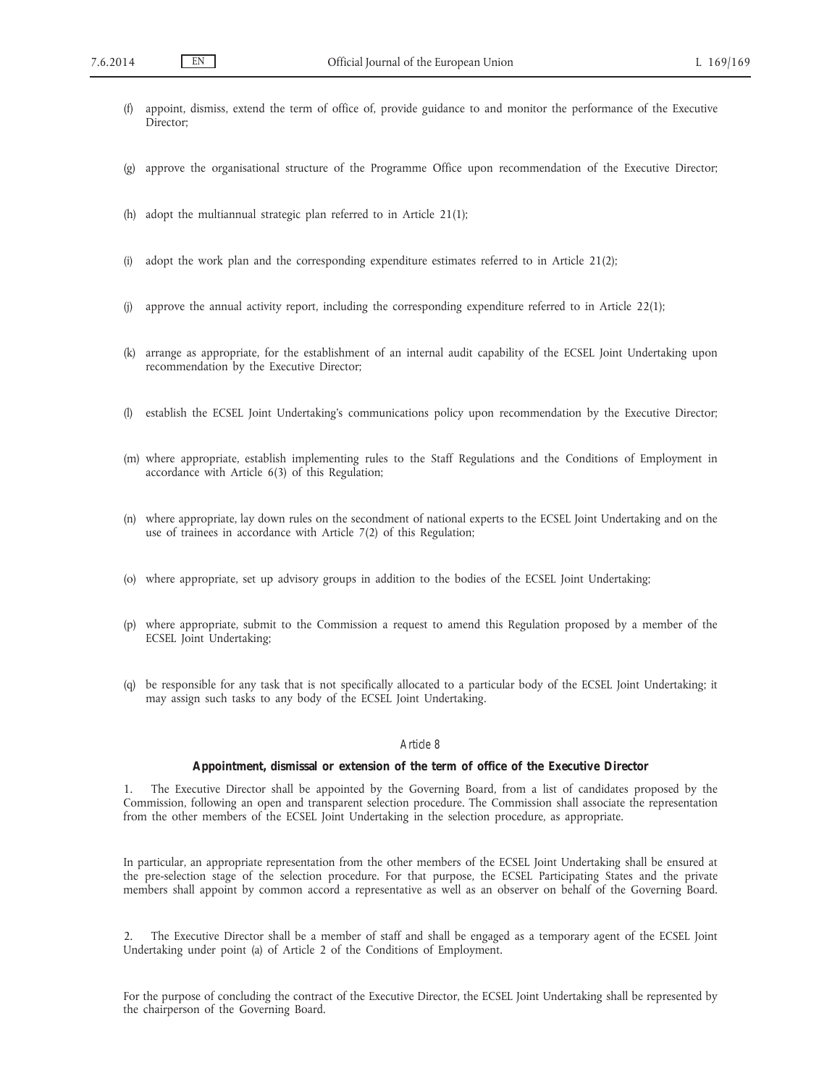- (f) appoint, dismiss, extend the term of office of, provide guidance to and monitor the performance of the Executive Director;
- (g) approve the organisational structure of the Programme Office upon recommendation of the Executive Director;
- (h) adopt the multiannual strategic plan referred to in Article 21(1);
- (i) adopt the work plan and the corresponding expenditure estimates referred to in Article 21(2);
- (j) approve the annual activity report, including the corresponding expenditure referred to in Article 22(1);
- (k) arrange as appropriate, for the establishment of an internal audit capability of the ECSEL Joint Undertaking upon recommendation by the Executive Director;
- (l) establish the ECSEL Joint Undertaking's communications policy upon recommendation by the Executive Director;
- (m) where appropriate, establish implementing rules to the Staff Regulations and the Conditions of Employment in accordance with Article 6(3) of this Regulation;
- (n) where appropriate, lay down rules on the secondment of national experts to the ECSEL Joint Undertaking and on the use of trainees in accordance with Article 7(2) of this Regulation;
- (o) where appropriate, set up advisory groups in addition to the bodies of the ECSEL Joint Undertaking;
- (p) where appropriate, submit to the Commission a request to amend this Regulation proposed by a member of the ECSEL Joint Undertaking;
- (q) be responsible for any task that is not specifically allocated to a particular body of the ECSEL Joint Undertaking; it may assign such tasks to any body of the ECSEL Joint Undertaking.

#### **Appointment, dismissal or extension of the term of office of the Executive Director**

1. The Executive Director shall be appointed by the Governing Board, from a list of candidates proposed by the Commission, following an open and transparent selection procedure. The Commission shall associate the representation from the other members of the ECSEL Joint Undertaking in the selection procedure, as appropriate.

In particular, an appropriate representation from the other members of the ECSEL Joint Undertaking shall be ensured at the pre-selection stage of the selection procedure. For that purpose, the ECSEL Participating States and the private members shall appoint by common accord a representative as well as an observer on behalf of the Governing Board.

2. The Executive Director shall be a member of staff and shall be engaged as a temporary agent of the ECSEL Joint Undertaking under point (a) of Article 2 of the Conditions of Employment.

For the purpose of concluding the contract of the Executive Director, the ECSEL Joint Undertaking shall be represented by the chairperson of the Governing Board.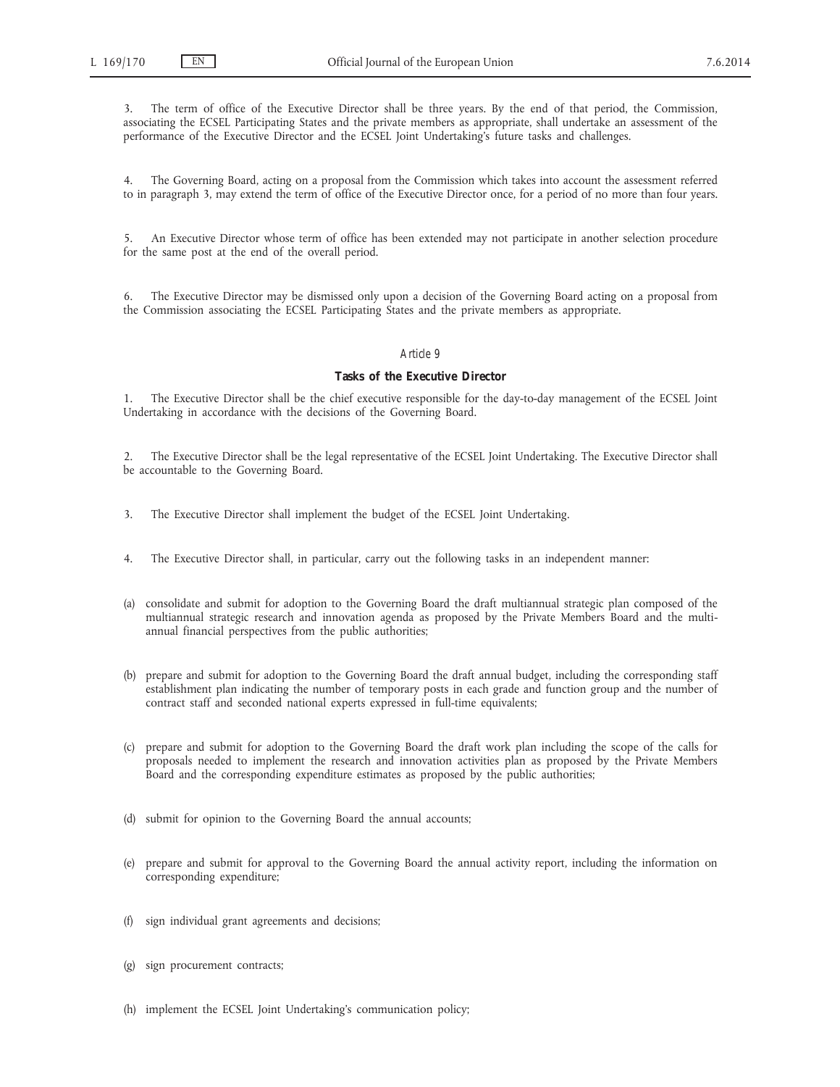3. The term of office of the Executive Director shall be three years. By the end of that period, the Commission, associating the ECSEL Participating States and the private members as appropriate, shall undertake an assessment of the performance of the Executive Director and the ECSEL Joint Undertaking's future tasks and challenges.

4. The Governing Board, acting on a proposal from the Commission which takes into account the assessment referred to in paragraph 3, may extend the term of office of the Executive Director once, for a period of no more than four years.

5. An Executive Director whose term of office has been extended may not participate in another selection procedure for the same post at the end of the overall period.

6. The Executive Director may be dismissed only upon a decision of the Governing Board acting on a proposal from the Commission associating the ECSEL Participating States and the private members as appropriate.

### *Article 9*

## **Tasks of the Executive Director**

1. The Executive Director shall be the chief executive responsible for the day-to-day management of the ECSEL Joint Undertaking in accordance with the decisions of the Governing Board.

2. The Executive Director shall be the legal representative of the ECSEL Joint Undertaking. The Executive Director shall be accountable to the Governing Board.

- 3. The Executive Director shall implement the budget of the ECSEL Joint Undertaking.
- 4. The Executive Director shall, in particular, carry out the following tasks in an independent manner:
- (a) consolidate and submit for adoption to the Governing Board the draft multiannual strategic plan composed of the multiannual strategic research and innovation agenda as proposed by the Private Members Board and the multiannual financial perspectives from the public authorities;
- (b) prepare and submit for adoption to the Governing Board the draft annual budget, including the corresponding staff establishment plan indicating the number of temporary posts in each grade and function group and the number of contract staff and seconded national experts expressed in full-time equivalents;
- (c) prepare and submit for adoption to the Governing Board the draft work plan including the scope of the calls for proposals needed to implement the research and innovation activities plan as proposed by the Private Members Board and the corresponding expenditure estimates as proposed by the public authorities;
- (d) submit for opinion to the Governing Board the annual accounts;
- (e) prepare and submit for approval to the Governing Board the annual activity report, including the information on corresponding expenditure;
- (f) sign individual grant agreements and decisions;
- (g) sign procurement contracts;
- (h) implement the ECSEL Joint Undertaking's communication policy;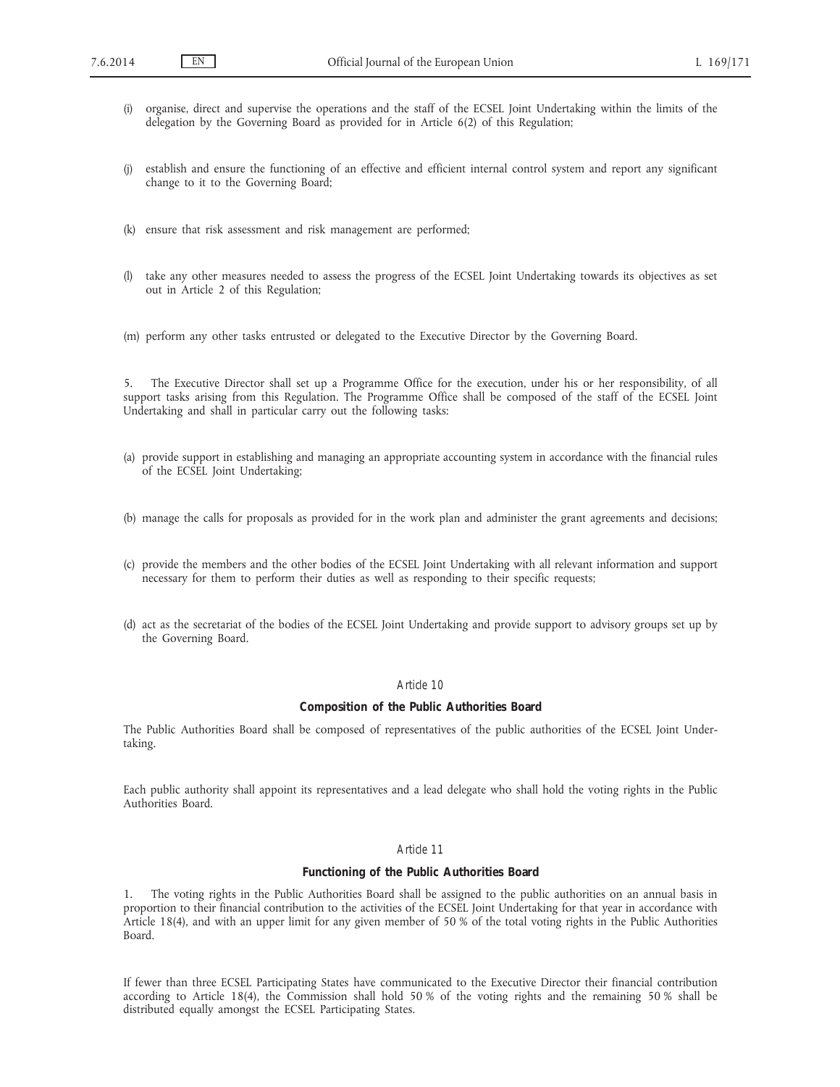- (i) organise, direct and supervise the operations and the staff of the ECSEL Joint Undertaking within the limits of the delegation by the Governing Board as provided for in Article 6(2) of this Regulation;
- (j) establish and ensure the functioning of an effective and efficient internal control system and report any significant change to it to the Governing Board;
- (k) ensure that risk assessment and risk management are performed;
- (l) take any other measures needed to assess the progress of the ECSEL Joint Undertaking towards its objectives as set out in Article 2 of this Regulation;
- (m) perform any other tasks entrusted or delegated to the Executive Director by the Governing Board.

5. The Executive Director shall set up a Programme Office for the execution, under his or her responsibility, of all support tasks arising from this Regulation. The Programme Office shall be composed of the staff of the ECSEL Joint Undertaking and shall in particular carry out the following tasks:

- (a) provide support in establishing and managing an appropriate accounting system in accordance with the financial rules of the ECSEL Joint Undertaking;
- (b) manage the calls for proposals as provided for in the work plan and administer the grant agreements and decisions;
- (c) provide the members and the other bodies of the ECSEL Joint Undertaking with all relevant information and support necessary for them to perform their duties as well as responding to their specific requests;
- (d) act as the secretariat of the bodies of the ECSEL Joint Undertaking and provide support to advisory groups set up by the Governing Board.

## *Article 10*

### **Composition of the Public Authorities Board**

The Public Authorities Board shall be composed of representatives of the public authorities of the ECSEL Joint Undertaking.

Each public authority shall appoint its representatives and a lead delegate who shall hold the voting rights in the Public Authorities Board.

# *Article 11*

## **Functioning of the Public Authorities Board**

1. The voting rights in the Public Authorities Board shall be assigned to the public authorities on an annual basis in proportion to their financial contribution to the activities of the ECSEL Joint Undertaking for that year in accordance with Article 18(4), and with an upper limit for any given member of 50 % of the total voting rights in the Public Authorities Board.

If fewer than three ECSEL Participating States have communicated to the Executive Director their financial contribution according to Article 18(4), the Commission shall hold 50 % of the voting rights and the remaining 50 % shall be distributed equally amongst the ECSEL Participating States.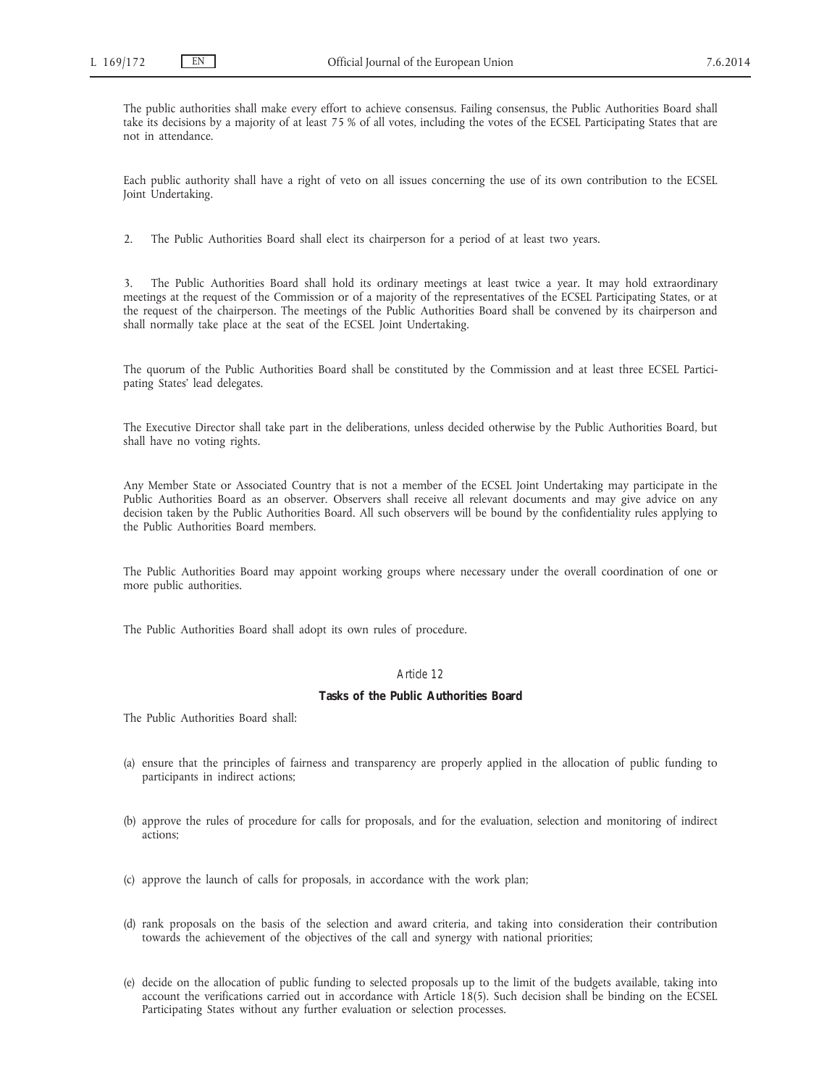The public authorities shall make every effort to achieve consensus. Failing consensus, the Public Authorities Board shall take its decisions by a majority of at least 75 % of all votes, including the votes of the ECSEL Participating States that are not in attendance.

Each public authority shall have a right of veto on all issues concerning the use of its own contribution to the ECSEL Joint Undertaking.

2. The Public Authorities Board shall elect its chairperson for a period of at least two years.

3. The Public Authorities Board shall hold its ordinary meetings at least twice a year. It may hold extraordinary meetings at the request of the Commission or of a majority of the representatives of the ECSEL Participating States, or at the request of the chairperson. The meetings of the Public Authorities Board shall be convened by its chairperson and shall normally take place at the seat of the ECSEL Joint Undertaking.

The quorum of the Public Authorities Board shall be constituted by the Commission and at least three ECSEL Participating States' lead delegates.

The Executive Director shall take part in the deliberations, unless decided otherwise by the Public Authorities Board, but shall have no voting rights.

Any Member State or Associated Country that is not a member of the ECSEL Joint Undertaking may participate in the Public Authorities Board as an observer. Observers shall receive all relevant documents and may give advice on any decision taken by the Public Authorities Board. All such observers will be bound by the confidentiality rules applying to the Public Authorities Board members.

The Public Authorities Board may appoint working groups where necessary under the overall coordination of one or more public authorities.

The Public Authorities Board shall adopt its own rules of procedure.

# *Article 12*

# **Tasks of the Public Authorities Board**

The Public Authorities Board shall:

- (a) ensure that the principles of fairness and transparency are properly applied in the allocation of public funding to participants in indirect actions;
- (b) approve the rules of procedure for calls for proposals, and for the evaluation, selection and monitoring of indirect actions;
- (c) approve the launch of calls for proposals, in accordance with the work plan;
- (d) rank proposals on the basis of the selection and award criteria, and taking into consideration their contribution towards the achievement of the objectives of the call and synergy with national priorities;
- (e) decide on the allocation of public funding to selected proposals up to the limit of the budgets available, taking into account the verifications carried out in accordance with Article 18(5). Such decision shall be binding on the ECSEL Participating States without any further evaluation or selection processes.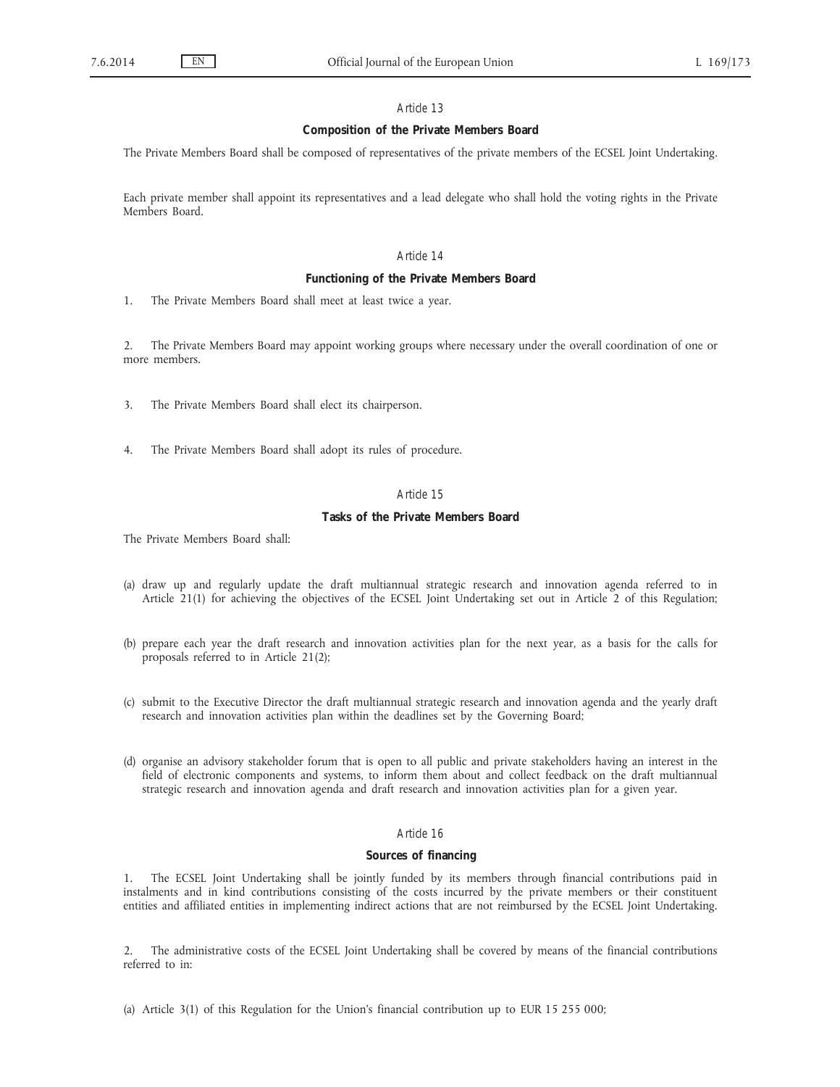# **Composition of the Private Members Board**

The Private Members Board shall be composed of representatives of the private members of the ECSEL Joint Undertaking.

Each private member shall appoint its representatives and a lead delegate who shall hold the voting rights in the Private Members Board.

# *Article 14*

## **Functioning of the Private Members Board**

1. The Private Members Board shall meet at least twice a year.

2. The Private Members Board may appoint working groups where necessary under the overall coordination of one or more members.

- 3. The Private Members Board shall elect its chairperson.
- 4. The Private Members Board shall adopt its rules of procedure.

### *Article 15*

## **Tasks of the Private Members Board**

The Private Members Board shall:

- (a) draw up and regularly update the draft multiannual strategic research and innovation agenda referred to in Article 21(1) for achieving the objectives of the ECSEL Joint Undertaking set out in Article 2 of this Regulation;
- (b) prepare each year the draft research and innovation activities plan for the next year, as a basis for the calls for proposals referred to in Article 21(2);
- (c) submit to the Executive Director the draft multiannual strategic research and innovation agenda and the yearly draft research and innovation activities plan within the deadlines set by the Governing Board;
- (d) organise an advisory stakeholder forum that is open to all public and private stakeholders having an interest in the field of electronic components and systems, to inform them about and collect feedback on the draft multiannual strategic research and innovation agenda and draft research and innovation activities plan for a given year.

## *Article 16*

## **Sources of financing**

1. The ECSEL Joint Undertaking shall be jointly funded by its members through financial contributions paid in instalments and in kind contributions consisting of the costs incurred by the private members or their constituent entities and affiliated entities in implementing indirect actions that are not reimbursed by the ECSEL Joint Undertaking.

2. The administrative costs of the ECSEL Joint Undertaking shall be covered by means of the financial contributions referred to in:

(a) Article 3(1) of this Regulation for the Union's financial contribution up to EUR 15 255 000;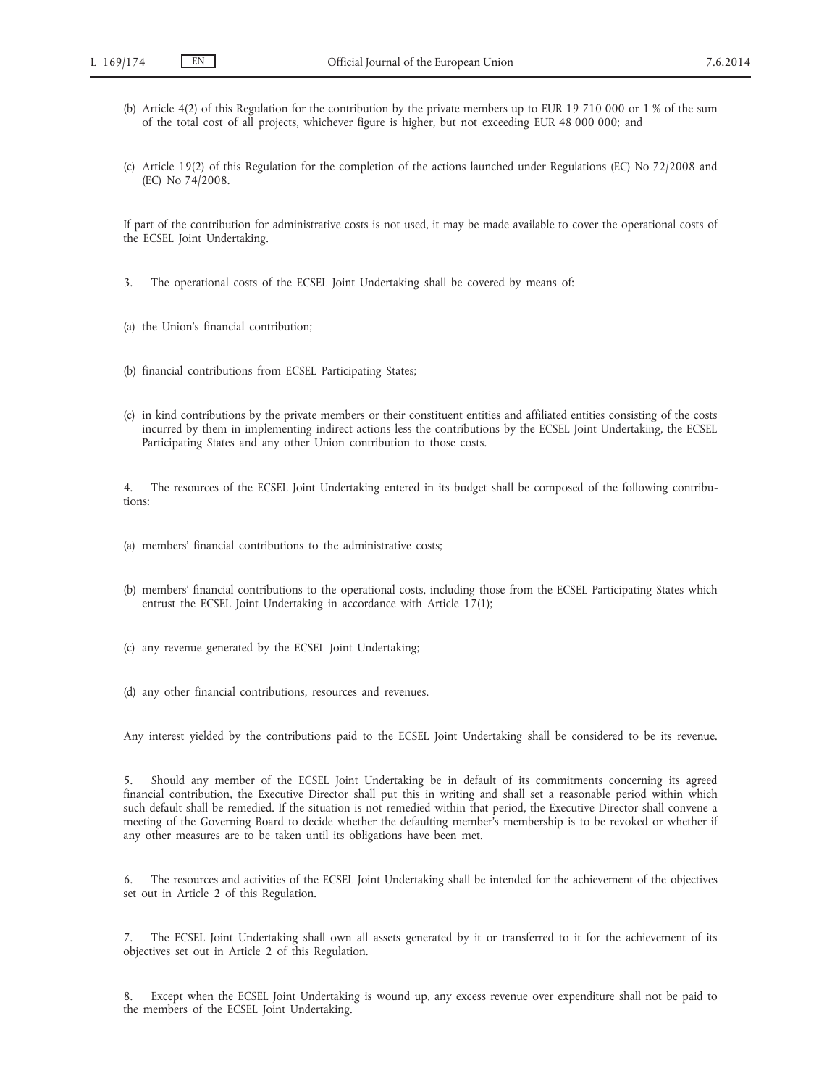- (b) Article 4(2) of this Regulation for the contribution by the private members up to EUR 19 710 000 or 1 % of the sum of the total cost of all projects, whichever figure is higher, but not exceeding EUR 48 000 000; and
- (c) Article 19(2) of this Regulation for the completion of the actions launched under Regulations (EC) No 72/2008 and (EC) No 74/2008.

If part of the contribution for administrative costs is not used, it may be made available to cover the operational costs of the ECSEL Joint Undertaking.

- 3. The operational costs of the ECSEL Joint Undertaking shall be covered by means of:
- (a) the Union's financial contribution;
- (b) financial contributions from ECSEL Participating States;
- (c) in kind contributions by the private members or their constituent entities and affiliated entities consisting of the costs incurred by them in implementing indirect actions less the contributions by the ECSEL Joint Undertaking, the ECSEL Participating States and any other Union contribution to those costs.

4. The resources of the ECSEL Joint Undertaking entered in its budget shall be composed of the following contributions:

- (a) members' financial contributions to the administrative costs;
- (b) members' financial contributions to the operational costs, including those from the ECSEL Participating States which entrust the ECSEL Joint Undertaking in accordance with Article 17(1);
- (c) any revenue generated by the ECSEL Joint Undertaking;
- (d) any other financial contributions, resources and revenues.

Any interest yielded by the contributions paid to the ECSEL Joint Undertaking shall be considered to be its revenue.

5. Should any member of the ECSEL Joint Undertaking be in default of its commitments concerning its agreed financial contribution, the Executive Director shall put this in writing and shall set a reasonable period within which such default shall be remedied. If the situation is not remedied within that period, the Executive Director shall convene a meeting of the Governing Board to decide whether the defaulting member's membership is to be revoked or whether if any other measures are to be taken until its obligations have been met.

6. The resources and activities of the ECSEL Joint Undertaking shall be intended for the achievement of the objectives set out in Article 2 of this Regulation.

7. The ECSEL Joint Undertaking shall own all assets generated by it or transferred to it for the achievement of its objectives set out in Article 2 of this Regulation.

8. Except when the ECSEL Joint Undertaking is wound up, any excess revenue over expenditure shall not be paid to the members of the ECSEL Joint Undertaking.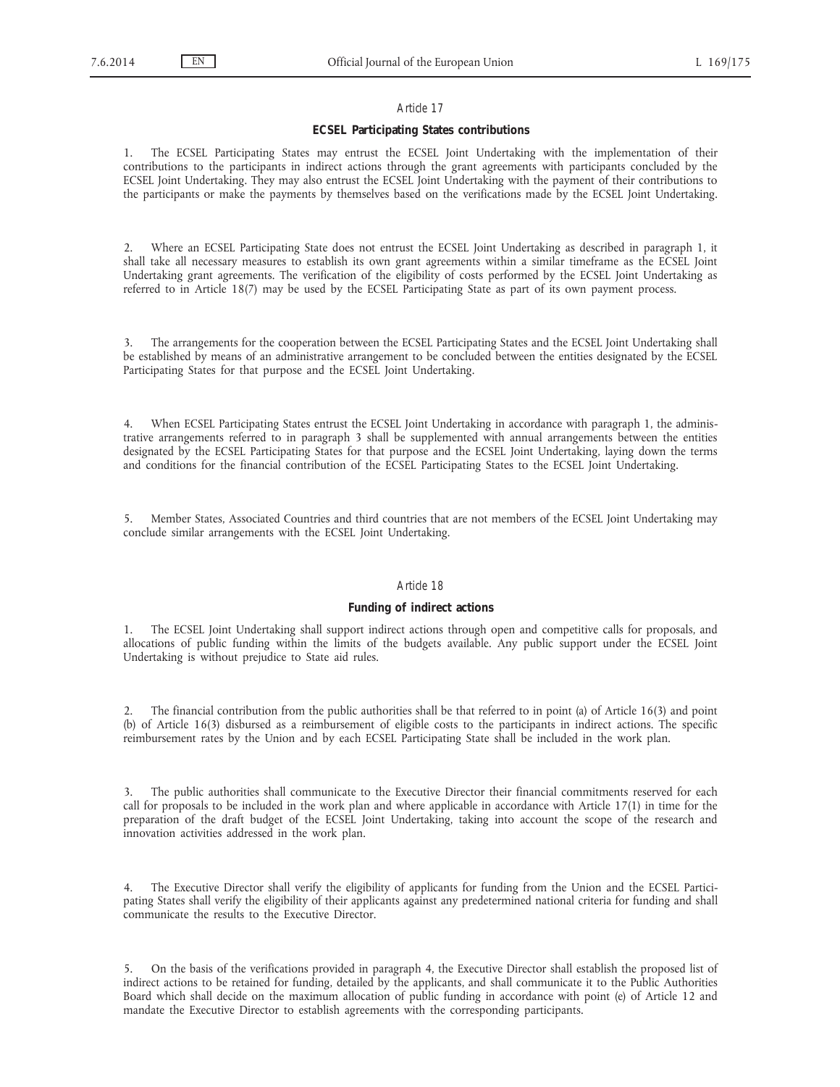## **ECSEL Participating States contributions**

1. The ECSEL Participating States may entrust the ECSEL Joint Undertaking with the implementation of their contributions to the participants in indirect actions through the grant agreements with participants concluded by the ECSEL Joint Undertaking. They may also entrust the ECSEL Joint Undertaking with the payment of their contributions to the participants or make the payments by themselves based on the verifications made by the ECSEL Joint Undertaking.

2. Where an ECSEL Participating State does not entrust the ECSEL Joint Undertaking as described in paragraph 1, it shall take all necessary measures to establish its own grant agreements within a similar timeframe as the ECSEL Joint Undertaking grant agreements. The verification of the eligibility of costs performed by the ECSEL Joint Undertaking as referred to in Article 18(7) may be used by the ECSEL Participating State as part of its own payment process.

3. The arrangements for the cooperation between the ECSEL Participating States and the ECSEL Joint Undertaking shall be established by means of an administrative arrangement to be concluded between the entities designated by the ECSEL Participating States for that purpose and the ECSEL Joint Undertaking.

4. When ECSEL Participating States entrust the ECSEL Joint Undertaking in accordance with paragraph 1, the administrative arrangements referred to in paragraph 3 shall be supplemented with annual arrangements between the entities designated by the ECSEL Participating States for that purpose and the ECSEL Joint Undertaking, laying down the terms and conditions for the financial contribution of the ECSEL Participating States to the ECSEL Joint Undertaking.

5. Member States, Associated Countries and third countries that are not members of the ECSEL Joint Undertaking may conclude similar arrangements with the ECSEL Joint Undertaking.

### *Article 18*

### **Funding of indirect actions**

1. The ECSEL Joint Undertaking shall support indirect actions through open and competitive calls for proposals, and allocations of public funding within the limits of the budgets available. Any public support under the ECSEL Joint Undertaking is without prejudice to State aid rules.

2. The financial contribution from the public authorities shall be that referred to in point (a) of Article 16(3) and point (b) of Article 16(3) disbursed as a reimbursement of eligible costs to the participants in indirect actions. The specific reimbursement rates by the Union and by each ECSEL Participating State shall be included in the work plan.

3. The public authorities shall communicate to the Executive Director their financial commitments reserved for each call for proposals to be included in the work plan and where applicable in accordance with Article 17(1) in time for the preparation of the draft budget of the ECSEL Joint Undertaking, taking into account the scope of the research and innovation activities addressed in the work plan.

4. The Executive Director shall verify the eligibility of applicants for funding from the Union and the ECSEL Participating States shall verify the eligibility of their applicants against any predetermined national criteria for funding and shall communicate the results to the Executive Director.

5. On the basis of the verifications provided in paragraph 4, the Executive Director shall establish the proposed list of indirect actions to be retained for funding, detailed by the applicants, and shall communicate it to the Public Authorities Board which shall decide on the maximum allocation of public funding in accordance with point (e) of Article 12 and mandate the Executive Director to establish agreements with the corresponding participants.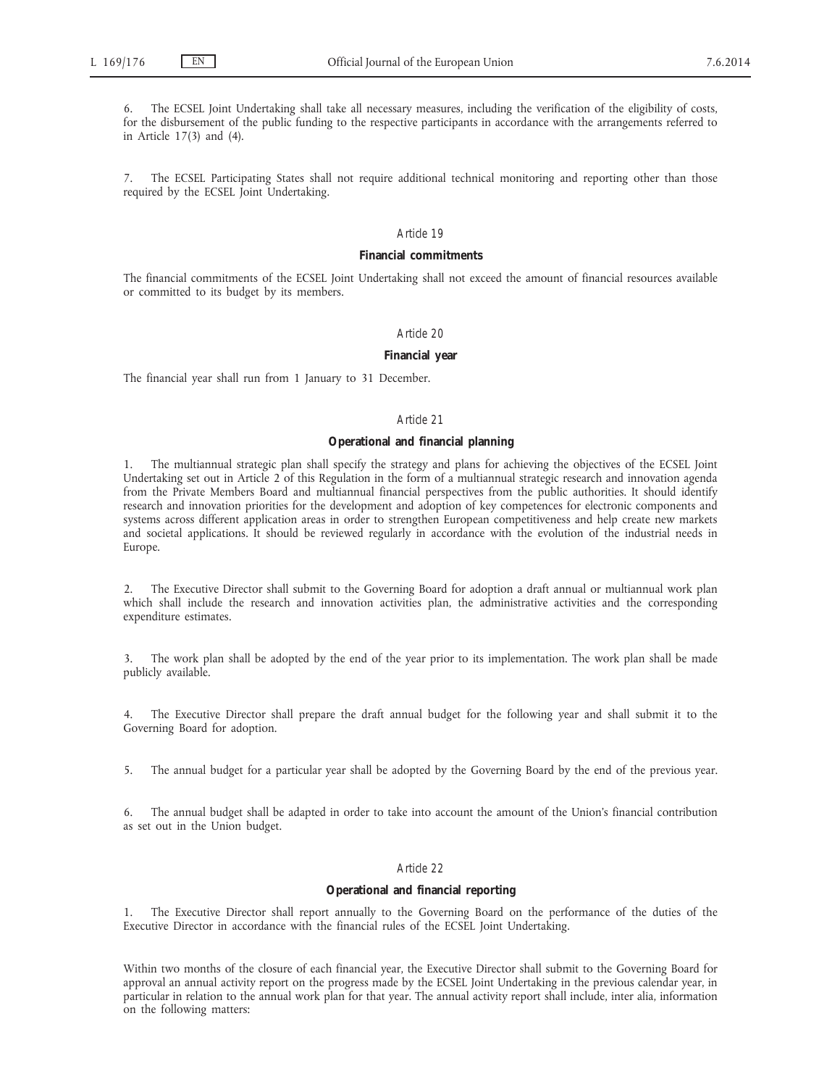The ECSEL Joint Undertaking shall take all necessary measures, including the verification of the eligibility of costs, for the disbursement of the public funding to the respective participants in accordance with the arrangements referred to in Article 17(3) and (4).

7. The ECSEL Participating States shall not require additional technical monitoring and reporting other than those required by the ECSEL Joint Undertaking.

## *Article 19*

## **Financial commitments**

The financial commitments of the ECSEL Joint Undertaking shall not exceed the amount of financial resources available or committed to its budget by its members.

# *Article 20*

## **Financial year**

The financial year shall run from 1 January to 31 December.

#### *Article 21*

### **Operational and financial planning**

1. The multiannual strategic plan shall specify the strategy and plans for achieving the objectives of the ECSEL Joint Undertaking set out in Article 2 of this Regulation in the form of a multiannual strategic research and innovation agenda from the Private Members Board and multiannual financial perspectives from the public authorities. It should identify research and innovation priorities for the development and adoption of key competences for electronic components and systems across different application areas in order to strengthen European competitiveness and help create new markets and societal applications. It should be reviewed regularly in accordance with the evolution of the industrial needs in Europe.

2. The Executive Director shall submit to the Governing Board for adoption a draft annual or multiannual work plan which shall include the research and innovation activities plan, the administrative activities and the corresponding expenditure estimates.

3. The work plan shall be adopted by the end of the year prior to its implementation. The work plan shall be made publicly available.

4. The Executive Director shall prepare the draft annual budget for the following year and shall submit it to the Governing Board for adoption.

5. The annual budget for a particular year shall be adopted by the Governing Board by the end of the previous year.

6. The annual budget shall be adapted in order to take into account the amount of the Union's financial contribution as set out in the Union budget.

# *Article 22*

## **Operational and financial reporting**

1. The Executive Director shall report annually to the Governing Board on the performance of the duties of the Executive Director in accordance with the financial rules of the ECSEL Joint Undertaking.

Within two months of the closure of each financial year, the Executive Director shall submit to the Governing Board for approval an annual activity report on the progress made by the ECSEL Joint Undertaking in the previous calendar year, in particular in relation to the annual work plan for that year. The annual activity report shall include, inter alia, information on the following matters: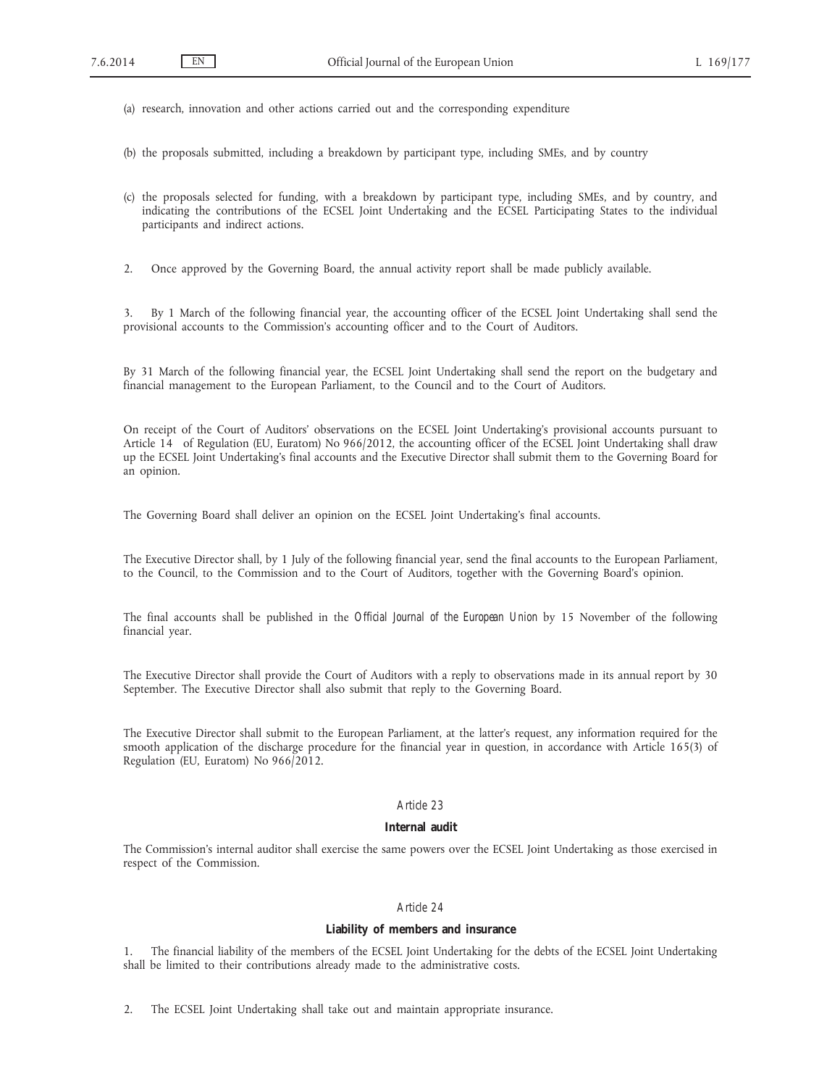(a) research, innovation and other actions carried out and the corresponding expenditure

(b) the proposals submitted, including a breakdown by participant type, including SMEs, and by country

(c) the proposals selected for funding, with a breakdown by participant type, including SMEs, and by country, and indicating the contributions of the ECSEL Joint Undertaking and the ECSEL Participating States to the individual participants and indirect actions.

2. Once approved by the Governing Board, the annual activity report shall be made publicly available.

3. By 1 March of the following financial year, the accounting officer of the ECSEL Joint Undertaking shall send the provisional accounts to the Commission's accounting officer and to the Court of Auditors.

By 31 March of the following financial year, the ECSEL Joint Undertaking shall send the report on the budgetary and financial management to the European Parliament, to the Council and to the Court of Auditors.

On receipt of the Court of Auditors' observations on the ECSEL Joint Undertaking's provisional accounts pursuant to Article 14 of Regulation (EU, Euratom) No 966/2012, the accounting officer of the ECSEL Joint Undertaking shall draw up the ECSEL Joint Undertaking's final accounts and the Executive Director shall submit them to the Governing Board for an opinion.

The Governing Board shall deliver an opinion on the ECSEL Joint Undertaking's final accounts.

The Executive Director shall, by 1 July of the following financial year, send the final accounts to the European Parliament, to the Council, to the Commission and to the Court of Auditors, together with the Governing Board's opinion.

The final accounts shall be published in the *Official Journal of the European Union* by 15 November of the following financial year.

The Executive Director shall provide the Court of Auditors with a reply to observations made in its annual report by 30 September. The Executive Director shall also submit that reply to the Governing Board.

The Executive Director shall submit to the European Parliament, at the latter's request, any information required for the smooth application of the discharge procedure for the financial year in question, in accordance with Article 165(3) of Regulation (EU, Euratom) No 966/2012.

## *Article 23*

# **Internal audit**

The Commission's internal auditor shall exercise the same powers over the ECSEL Joint Undertaking as those exercised in respect of the Commission.

# *Article 24*

# **Liability of members and insurance**

1. The financial liability of the members of the ECSEL Joint Undertaking for the debts of the ECSEL Joint Undertaking shall be limited to their contributions already made to the administrative costs.

2. The ECSEL Joint Undertaking shall take out and maintain appropriate insurance.